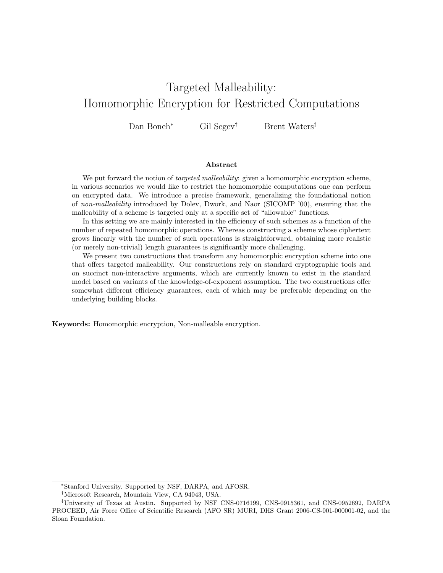# Targeted Malleability: Homomorphic Encryption for Restricted Computations

Dan Boneh*<sup>∗</sup>* Gil Segev*†* Brent Waters*‡*

#### **Abstract**

We put forward the notion of *targeted malleability*: given a homomorphic encryption scheme, in various scenarios we would like to restrict the homomorphic computations one can perform on encrypted data. We introduce a precise framework, generalizing the foundational notion of *non-malleability* introduced by Dolev, Dwork, and Naor (SICOMP '00), ensuring that the malleability of a scheme is targeted only at a specific set of "allowable" functions.

In this setting we are mainly interested in the efficiency of such schemes as a function of the number of repeated homomorphic operations. Whereas constructing a scheme whose ciphertext grows linearly with the number of such operations is straightforward, obtaining more realistic (or merely non-trivial) length guarantees is significantly more challenging.

We present two constructions that transform any homomorphic encryption scheme into one that offers targeted malleability. Our constructions rely on standard cryptographic tools and on succinct non-interactive arguments, which are currently known to exist in the standard model based on variants of the knowledge-of-exponent assumption. The two constructions offer somewhat different efficiency guarantees, each of which may be preferable depending on the underlying building blocks.

**Keywords:** Homomorphic encryption, Non-malleable encryption.

*<sup>∗</sup>*Stanford University. Supported by NSF, DARPA, and AFOSR.

*<sup>†</sup>*Microsoft Research, Mountain View, CA 94043, USA.

*<sup>‡</sup>*University of Texas at Austin. Supported by NSF CNS-0716199, CNS-0915361, and CNS-0952692, DARPA PROCEED, Air Force Office of Scientific Research (AFO SR) MURI, DHS Grant 2006-CS-001-000001-02, and the Sloan Foundation.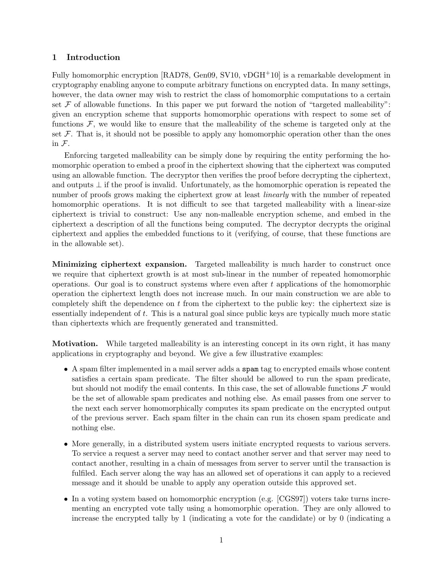# **1 Introduction**

Fully homomorphic encryption [\[RAD78,](#page-27-0) [Gen09,](#page-26-0) [SV10,](#page-27-1) [vDGH](#page-28-0)<sup>+</sup>10] is a remarkable development in cryptography enabling anyone to compute arbitrary functions on encrypted data. In many settings, however, the data owner may wish to restrict the class of homomorphic computations to a certain set  $\mathcal F$  of allowable functions. In this paper we put forward the notion of "targeted malleability": given an encryption scheme that supports homomorphic operations with respect to some set of functions  $\mathcal F$ , we would like to ensure that the malleability of the scheme is targeted only at the set  $\mathcal F$ . That is, it should not be possible to apply any homomorphic operation other than the ones in *F*.

Enforcing targeted malleability can be simply done by requiring the entity performing the homomorphic operation to embed a proof in the ciphertext showing that the ciphertext was computed using an allowable function. The decryptor then verifies the proof before decrypting the ciphertext, and outputs *⊥* if the proof is invalid. Unfortunately, as the homomorphic operation is repeated the number of proofs grows making the ciphertext grow at least *linearly* with the number of repeated homomorphic operations. It is not difficult to see that targeted malleability with a linear-size ciphertext is trivial to construct: Use any non-malleable encryption scheme, and embed in the ciphertext a description of all the functions being computed. The decryptor decrypts the original ciphertext and applies the embedded functions to it (verifying, of course, that these functions are in the allowable set).

**Minimizing ciphertext expansion.** Targeted malleability is much harder to construct once we require that ciphertext growth is at most sub-linear in the number of repeated homomorphic operations. Our goal is to construct systems where even after *t* applications of the homomorphic operation the ciphertext length does not increase much. In our main construction we are able to completely shift the dependence on *t* from the ciphertext to the public key: the ciphertext size is essentially independent of *t*. This is a natural goal since public keys are typically much more static than ciphertexts which are frequently generated and transmitted.

**Motivation.** While targeted malleability is an interesting concept in its own right, it has many applications in cryptography and beyond. We give a few illustrative examples:

- A spam filter implemented in a mail server adds a spam tag to encrypted emails whose content satisfies a certain spam predicate. The filter should be allowed to run the spam predicate, but should not modify the email contents. In this case, the set of allowable functions  $\mathcal F$  would be the set of allowable spam predicates and nothing else. As email passes from one server to the next each server homomorphically computes its spam predicate on the encrypted output of the previous server. Each spam filter in the chain can run its chosen spam predicate and nothing else.
- More generally, in a distributed system users initiate encrypted requests to various servers. To service a request a server may need to contact another server and that server may need to contact another, resulting in a chain of messages from server to server until the transaction is fulfiled. Each server along the way has an allowed set of operations it can apply to a recieved message and it should be unable to apply any operation outside this approved set.
- In a voting system based on homomorphic encryption (e.g. [[CGS97](#page-26-1)]) voters take turns incrementing an encrypted vote tally using a homomorphic operation. They are only allowed to increase the encrypted tally by 1 (indicating a vote for the candidate) or by 0 (indicating a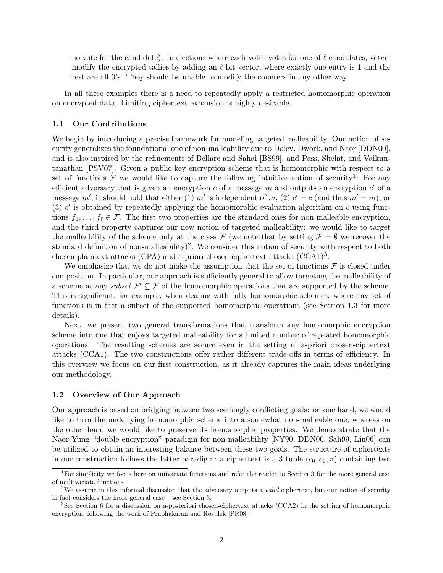no vote for the candidate). In elections where each voter votes for one of *ℓ* candidates, voters modify the encrypted tallies by adding an *ℓ*-bit vector, where exactly one entry is 1 and the rest are all 0's. They should be unable to modify the counters in any other way.

In all these examples there is a need to repeatedly apply a restricted homomorphic operation on encrypted data. Limiting ciphertext expansion is highly desirable.

#### **1.1 Our Contributions**

We begin by introducing a precise framework for modeling targeted malleability. Our notion of security generalizes the foundational one of non-malleability due to Dolev, Dwork, and Naor [[DDN00\]](#page-26-2), and is also inspired by the refinements of Bellare and Sahai [[BS99\]](#page-26-3), and Pass, Shelat, and Vaikuntanathan [\[PSV07\]](#page-27-2). Given a public-key encryption scheme that is homomorphic with respect to a set of functions  $\mathcal F$  we would like to capture the following intuitive notion of security<sup>[1](#page-2-0)</sup>: For any efficient adversary that is given an encryption *c* of a message *m* and outputs an encryption *c ′* of a message *m'*, it should hold that either (1) *m'* is independent of *m*, (2)  $c' = c$  (and thus  $m' = m$ ), or (3)  $c'$  is obtained by repeatedly applying the homomorphic evaluation algorithm on  $c$  using functions  $f_1, \ldots, f_\ell \in \mathcal{F}$ . The first two properties are the standard ones for non-malleable encryption, and the third property captures our new notion of targeted malleability: we would like to target the malleability of the scheme only at the class  $\mathcal F$  (we note that by setting  $\mathcal F = \emptyset$  we recover the standard definition of non-malleability)<sup>[2](#page-2-1)</sup>. We consider this notion of security with respect to both chosen-plaintext attacks (CPA) and a-priori chosen-ciphertext attacks  $(CCA1)^3$  $(CCA1)^3$ .

We emphasize that we do not make the assumption that the set of functions  $\mathcal F$  is closed under composition. In particular, our approach is sufficiently general to allow targeting the malleability of a scheme at any *subset*  $\mathcal{F}' \subseteq \mathcal{F}$  of the homomorphic operations that are supported by the scheme. This is significant, for example, when dealing with fully homomorphic schemes, where any set of functions is in fact a subset of the supported homomorphic operations (see Section [1.3](#page-5-0) for more details).

Next, we present two general transformations that transform any homomorphic encryption scheme into one that enjoys targeted malleability for a limited number of repeated homomorphic operations. The resulting schemes are secure even in the setting of a-priori chosen-ciphertext attacks (CCA1). The two constructions offer rather different trade-offs in terms of efficiency. In this overview we focus on our first construction, as it already captures the main ideas underlying our methodology.

#### **1.2 Overview of Our Approach**

Our approach is based on bridging between two seemingly conflicting goals: on one hand, we would like to turn the underlying homomorphic scheme into a somewhat non-malleable one, whereas on the other hand we would like to preserve its homomorphic properties. We demonstrate that the Naor-Yung "double encryption" paradigm for non-malleability [[NY90](#page-27-3), [DDN00,](#page-26-2) [Sah99](#page-27-4), [Lin06\]](#page-27-5) can be utilized to obtain an interesting balance between these two goals. The structure of ciphertexts in our construction follows the latter paradigm: a ciphertext is a 3-tuple  $(c_0, c_1, \pi)$  containing two

<span id="page-2-0"></span><sup>&</sup>lt;sup>1</sup>For simplicity we focus here on univariate functions and refer the reader to Section [3](#page-10-0) for the more general case of multivariate functions

<span id="page-2-1"></span><sup>&</sup>lt;sup>2</sup>We assume in this informal discussion that the adversary outputs a *valid* ciphertext, but our notion of security in fact considers the more general case – see Section [3](#page-10-0).

<span id="page-2-2"></span><sup>3</sup>See Section [6](#page-24-0) for a discussion on a-posteriori chosen-ciphertext attacks (CCA2) in the setting of homomorphic encryption, following the work of Prabhakaran and Rosulek [[PR08](#page-27-6)].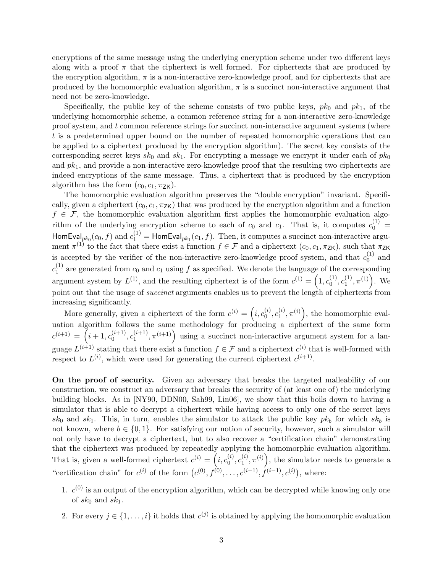encryptions of the same message using the underlying encryption scheme under two different keys along with a proof  $\pi$  that the ciphertext is well formed. For ciphertexts that are produced by the encryption algorithm,  $\pi$  is a non-interactive zero-knowledge proof, and for ciphertexts that are produced by the homomorphic evaluation algorithm, *π* is a succinct non-interactive argument that need not be zero-knowledge.

Specifically, the public key of the scheme consists of two public keys,  $pk_0$  and  $pk_1$ , of the underlying homomorphic scheme, a common reference string for a non-interactive zero-knowledge proof system, and *t* common reference strings for succinct non-interactive argument systems (where *t* is a predetermined upper bound on the number of repeated homomorphic operations that can be applied to a ciphertext produced by the encryption algorithm). The secret key consists of the corresponding secret keys  $sk_0$  and  $sk_1$ . For encrypting a message we encrypt it under each of  $pk_0$ and *pk*1, and provide a non-interactive zero-knowledge proof that the resulting two ciphertexts are indeed encryptions of the same message. Thus, a ciphertext that is produced by the encryption algorithm has the form  $(c_0, c_1, \pi_{\mathsf{ZK}})$ .

The homomorphic evaluation algorithm preserves the "double encryption" invariant. Specifically, given a ciphertext  $(c_0, c_1, \pi_{\text{ZK}})$  that was produced by the encryption algorithm and a function  $f \in \mathcal{F}$ , the homomorphic evaluation algorithm first applies the homomorphic evaluation algorithm of the underlying encryption scheme to each of  $c_0$  and  $c_1$ . That is, it computes  $c_0^{(1)}$  = HomEval<sub>pk<sub>0</sub></sub> $(c_0, f)$  and  $c_1^{(1)} =$  HomEval<sub>pk1</sub> $(c_1, f)$ . Then, it computes a succinct non-interactive argument  $\pi^{(1)}$  to the fact that there exist a function  $f \in \mathcal{F}$  and a ciphertext  $(c_0, c_1, \pi_{\mathsf{ZK}})$ , such that  $\pi_{\mathsf{ZK}}$ is accepted by the verifier of the non-interactive zero-knowledge proof system, and that  $c_0^{(1)}$  $_0^{(1)}$  and  $c_1^{(1)}$  $I_1^{(1)}$  are generated from  $c_0$  and  $c_1$  using f as specified. We denote the language of the corresponding argument system by  $L^{(1)}$ , and the resulting ciphertext is of the form  $c^{(1)} = (1, c_0^{(1)})$  $c_0^{(1)}, c_1^{(1)}$  $\binom{1}{1}, \pi^{(1)}$ . We point out that the usage of *succinct* arguments enables us to prevent the length of ciphertexts from increasing significantly.

More generally, given a ciphertext of the form  $c^{(i)} = (i, c_0^{(i)}, c_1^{(i)})$  $\binom{i}{1}, \pi^{(i)}$ , the homomorphic evaluation algorithm follows the same methodology for producing a ciphertext of the same form  $c^{(i+1)} = \int_0^{\infty} i + 1, c_0^{(i+1)}$  $c_0^{(i+1)}, c_1^{(i+1)}$  $\left( \begin{array}{c} (i+1) \\ 1 \end{array} \right)$  using a succinct non-interactive argument system for a language  $L^{(i+1)}$  stating that there exist a function  $f \in \mathcal{F}$  and a ciphertext  $c^{(i)}$  that is well-formed with respect to  $L^{(i)}$ , which were used for generating the current ciphertext  $c^{(i+1)}$ .

**On the proof of security.** Given an adversary that breaks the targeted malleability of our construction, we construct an adversary that breaks the security of (at least one of) the underlying building blocks. As in [[NY90,](#page-27-3) [DDN00,](#page-26-2) [Sah99,](#page-27-4) [Lin06\]](#page-27-5), we show that this boils down to having a simulator that is able to decrypt a ciphertext while having access to only one of the secret keys  $sk_0$  and  $sk_1$ . This, in turn, enables the simulator to attack the public key  $pk_b$  for which  $sk_b$  is not known, where  $b \in \{0,1\}$ . For satisfying our notion of security, however, such a simulator will not only have to decrypt a ciphertext, but to also recover a "certification chain" demonstrating that the ciphertext was produced by repeatedly applying the homomorphic evaluation algorithm. That is, given a well-formed ciphertext  $c^{(i)} = (i, c_0^{(i)}, c_1^{(i)})$  $\left( \begin{matrix} i \\ 1 \end{matrix} \right)$ , the simulator needs to generate a "certification chain" for  $c^{(i)}$  of the form  $(c^{(0)}, f^{(0)}, \ldots, c^{(i-1)}, f^{(i-1)}, c^{(i)})$ , where:

- 1.  $c^{(0)}$  is an output of the encryption algorithm, which can be decrypted while knowing only one of  $sk_0$  and  $sk_1$ .
- 2. For every  $j \in \{1, \ldots, i\}$  it holds that  $c^{(j)}$  is obtained by applying the homomorphic evaluation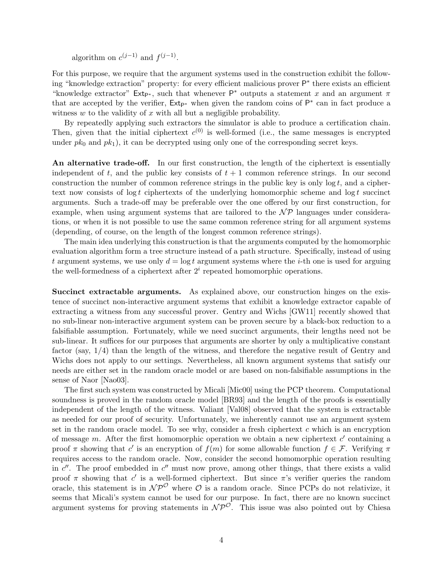algorithm on  $c^{(j-1)}$  and  $f^{(j-1)}$ .

For this purpose, we require that the argument systems used in the construction exhibit the following "knowledge extraction" property: for every efficient malicious prover P *∗* there exists an efficient "knowledge extractor" Ext<sub>P</sub><sup>\*</sup>, such that whenever  $P^*$  outputs a statement *x* and an argument  $\pi$ that are accepted by the verifier, Ext<sub>P<sup>∗</sup></sub> when given the random coins of P<sup>∗</sup> can in fact produce a witness *w* to the validity of *x* with all but a negligible probability.

By repeatedly applying such extractors the simulator is able to produce a certification chain. Then, given that the initial ciphertext  $c^{(0)}$  is well-formed (i.e., the same messages is encrypted under  $pk_0$  and  $pk_1$ ), it can be decrypted using only one of the corresponding secret keys.

An alternative trade-off. In our first construction, the length of the ciphertext is essentially independent of  $t$ , and the public key consists of  $t + 1$  common reference strings. In our second construction the number of common reference strings in the public key is only log *t*, and a ciphertext now consists of log *t* ciphertexts of the underlying homomorphic scheme and log *t* succinct arguments. Such a trade-off may be preferable over the one offered by our first construction, for example, when using argument systems that are tailored to the  $\mathcal{NP}$  languages under considerations, or when it is not possible to use the same common reference string for all argument systems (depending, of course, on the length of the longest common reference strings).

The main idea underlying this construction is that the arguments computed by the homomorphic evaluation algorithm form a tree structure instead of a path structure. Specifically, instead of using *t* argument systems, we use only *d* = log *t* argument systems where the *i*-th one is used for arguing the well-formedness of a ciphertext after  $2<sup>i</sup>$  repeated homomorphic operations.

**Succinct extractable arguments.** As explained above, our construction hinges on the existence of succinct non-interactive argument systems that exhibit a knowledge extractor capable of extracting a witness from any successful prover. Gentry and Wichs [[GW11\]](#page-27-7) recently showed that no sub-linear non-interactive argument system can be proven secure by a black-box reduction to a falsifiable assumption. Fortunately, while we need succinct arguments, their lengths need not be sub-linear. It suffices for our purposes that arguments are shorter by only a multiplicative constant factor (say, 1/4) than the length of the witness, and therefore the negative result of Gentry and Wichs does not apply to our settings. Nevertheless, all known argument systems that satisfy our needs are either set in the random oracle model or are based on non-falsifiable assumptions in the sense of Naor [\[Nao03](#page-27-8)].

The first such system was constructed by Micali [[Mic00](#page-27-9)] using the PCP theorem. Computational soundness is proved in the random oracle model [[BR93\]](#page-25-0) and the length of the proofs is essentially independent of the length of the witness. Valiant [[Val08](#page-27-10)] observed that the system is extractable as needed for our proof of security. Unfortunately, we inherently cannot use an argument system set in the random oracle model. To see why, consider a fresh ciphertext *c* which is an encryption of message *m*. After the first homomorphic operation we obtain a new ciphertext *c ′* containing a proof  $\pi$  showing that *c'* is an encryption of  $f(m)$  for some allowable function  $f \in \mathcal{F}$ . Verifying  $\pi$ requires access to the random oracle. Now, consider the second homomorphic operation resulting in *c ′′*. The proof embedded in *c ′′* must now prove, among other things, that there exists a valid proof  $\pi$  showing that *c'* is a well-formed ciphertext. But since  $\pi$ 's verifier queries the random oracle, this statement is in  $\mathcal{NP}^{\mathcal{O}}$  where  $\mathcal O$  is a random oracle. Since PCPs do not relativize, it seems that Micali's system cannot be used for our purpose. In fact, there are no known succinct argument systems for proving statements in  $\mathcal{NP}^{\mathcal{O}}$ . This issue was also pointed out by Chiesa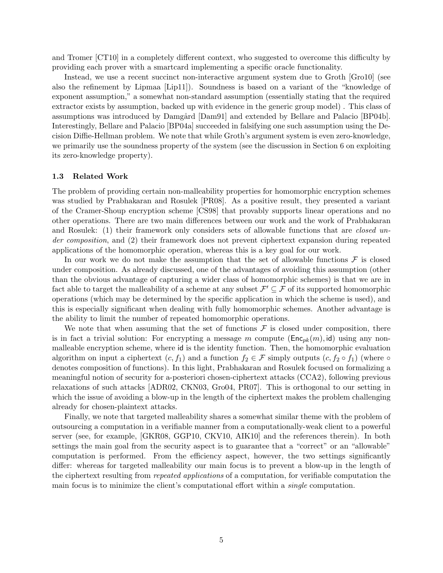and Tromer [[CT10](#page-26-4)] in a completely different context, who suggested to overcome this difficulty by providing each prover with a smartcard implementing a specific oracle functionality.

Instead, we use a recent succinct non-interactive argument system due to Groth [[Gro10](#page-27-11)] (see also the refinement by Lipmaa [[Lip11\]](#page-27-12)). Soundness is based on a variant of the "knowledge of exponent assumption," a somewhat non-standard assumption (essentially stating that the required extractor exists by assumption, backed up with evidence in the generic group model) . This class of assumptions was introduced by Damgård [[Dam91\]](#page-26-5) and extended by Bellare and Palacio [[BP04b\]](#page-25-1). Interestingly, Bellare and Palacio [\[BP04a\]](#page-25-2) succeeded in falsifying one such assumption using the Decision Diffie-Hellman problem. We note that while Groth's argument system is even zero-knowledge, we primarily use the soundness property of the system (see the discussion in Section [6](#page-24-0) on exploiting its zero-knowledge property).

#### <span id="page-5-0"></span>**1.3 Related Work**

The problem of providing certain non-malleability properties for homomorphic encryption schemes was studied by Prabhakaran and Rosulek [[PR08](#page-27-6)]. As a positive result, they presented a variant of the Cramer-Shoup encryption scheme [\[CS98](#page-26-6)] that provably supports linear operations and no other operations. There are two main differences between our work and the work of Prabhakaran and Rosulek: (1) their framework only considers sets of allowable functions that are *closed under composition*, and (2) their framework does not prevent ciphertext expansion during repeated applications of the homomorphic operation, whereas this is a key goal for our work.

In our work we do not make the assumption that the set of allowable functions  $\mathcal F$  is closed under composition. As already discussed, one of the advantages of avoiding this assumption (other than the obvious advantage of capturing a wider class of homomorphic schemes) is that we are in fact able to target the malleability of a scheme at any subset  $\mathcal{F}' \subseteq \mathcal{F}$  of its supported homomorphic operations (which may be determined by the specific application in which the scheme is used), and this is especially significant when dealing with fully homomorphic schemes. Another advantage is the ability to limit the number of repeated homomorphic operations.

We note that when assuming that the set of functions  $\mathcal F$  is closed under composition, there is in fact a trivial solution: For encrypting a message *m* compute  $(\text{Enc}_{pk}(m), id)$  using any nonmalleable encryption scheme, where id is the identity function. Then, the homomorphic evaluation algorithm on input a ciphertext  $(c, f_1)$  and a function  $f_2 \in \mathcal{F}$  simply outputs  $(c, f_2 \circ f_1)$  (where  $\circ$ denotes composition of functions). In this light, Prabhakaran and Rosulek focused on formalizing a meaningful notion of security for a-posteriori chosen-ciphertext attacks (CCA2), following previous relaxations of such attacks [[ADR02](#page-25-3), [CKN03,](#page-26-7) [Gro04](#page-27-13), [PR07\]](#page-27-14). This is orthogonal to our setting in which the issue of avoiding a blow-up in the length of the ciphertext makes the problem challenging already for chosen-plaintext attacks.

Finally, we note that targeted malleability shares a somewhat similar theme with the problem of outsourcing a computation in a verifiable manner from a computationally-weak client to a powerful server (see, for example, [[GKR08,](#page-26-8) [GGP10,](#page-26-9) [CKV10](#page-26-10), [AIK10](#page-25-4)] and the references therein). In both settings the main goal from the security aspect is to guarantee that a "correct" or an "allowable" computation is performed. From the efficiency aspect, however, the two settings significantly differ: whereas for targeted malleability our main focus is to prevent a blow-up in the length of the ciphertext resulting from *repeated applications* of a computation, for verifiable computation the main focus is to minimize the client's computational effort within a *single* computation.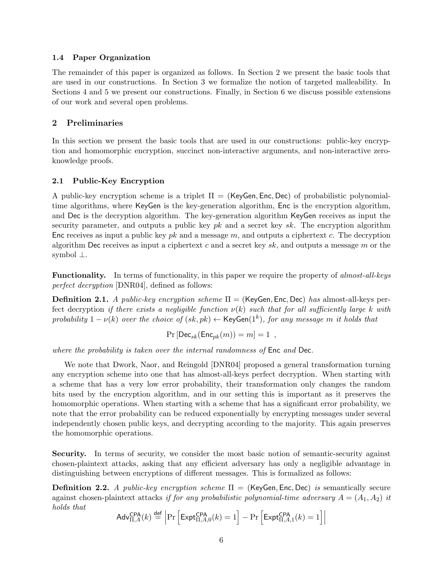# **1.4 Paper Organization**

The remainder of this paper is organized as follows. In Section [2](#page-6-0) we present the basic tools that are used in our constructions. In Section [3](#page-10-0) we formalize the notion of targeted malleability. In Sections [4](#page-12-0) and [5](#page-20-0) we present our constructions. Finally, in Section [6](#page-24-0) we discuss possible extensions of our work and several open problems.

# <span id="page-6-0"></span>**2 Preliminaries**

In this section we present the basic tools that are used in our constructions: public-key encryption and homomorphic encryption, succinct non-interactive arguments, and non-interactive zeroknowledge proofs.

# <span id="page-6-2"></span>**2.1 Public-Key Encryption**

A public-key encryption scheme is a triplet Π = (KeyGen*,* Enc*,* Dec) of probabilistic polynomialtime algorithms, where KeyGen is the key-generation algorithm, Enc is the encryption algorithm, and Dec is the decryption algorithm. The key-generation algorithm KeyGen receives as input the security parameter, and outputs a public key *pk* and a secret key *sk*. The encryption algorithm Enc receives as input a public key *pk* and a message *m*, and outputs a ciphertext *c*. The decryption algorithm Dec receives as input a ciphertext *c* and a secret key *sk*, and outputs a message *m* or the symbol *⊥*.

**Functionality.** In terms of functionality, in this paper we require the property of *almost-all-keys perfect decryption* [[DNR04](#page-26-11)], defined as follows:

<span id="page-6-1"></span>**Definition 2.1.** *A public-key encryption scheme*  $\Pi =$  (KeyGen, Enc, Dec) *has* almost-all-keys perfect decryption *if there exists a negligible function*  $\nu(k)$  *such that for all sufficiently large*  $k$  *with probability*  $1 - \nu(k)$  *over the choice of*  $(sk, pk) \leftarrow \text{KeyGen}(1^k)$ , *for any message m it holds that* 

$$
Pr[Dec_{sk}(Enc_{pk}(m)) = m] = 1,
$$

*where the probability is taken over the internal randomness of* Enc *and* Dec*.*

We note that Dwork, Naor, and Reingold [[DNR04\]](#page-26-11) proposed a general transformation turning any encryption scheme into one that has almost-all-keys perfect decryption. When starting with a scheme that has a very low error probability, their transformation only changes the random bits used by the encryption algorithm, and in our setting this is important as it preserves the homomorphic operations. When starting with a scheme that has a significant error probability, we note that the error probability can be reduced exponentially by encrypting messages under several independently chosen public keys, and decrypting according to the majority. This again preserves the homomorphic operations.

**Security.** In terms of security, we consider the most basic notion of semantic-security against chosen-plaintext attacks, asking that any efficient adversary has only a negligible advantage in distinguishing between encryptions of different messages. This is formalized as follows:

**Definition 2.2.** *A public-key encryption scheme* Π = (KeyGen*,* Enc*,* Dec) *is* semantically secure against chosen-plaintext attacks *if for any probabilistic polynomial-time adversary*  $A = (A_1, A_2)$  *it holds that*

$$
\mathsf{Adv}_{\Pi,A}^{\mathsf{CPA}}(k) \stackrel{\mathsf{def}}{=} \Big|\Pr\Big[\mathsf{Expt}_{\Pi,A,0}^{\mathsf{CPA}}(k) = 1\Big] - \Pr\Big[\mathsf{Expt}_{\Pi,A,1}^{\mathsf{CPA}}(k) = 1\Big]\Big|
$$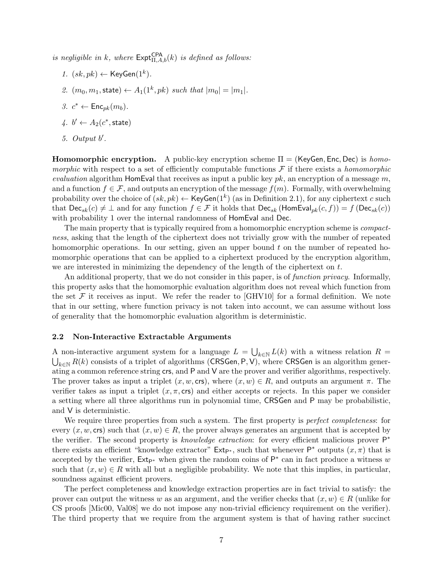*is negligible in k, where*  $\textsf{Expt}_{\Pi,A,b}^{\textsf{CPA}}(k)$  *is defined as follows:* 

- *1.*  $(sk, pk)$  ← KeyGen $(1<sup>k</sup>)$ .
- *2.*  $(m_0, m_1, \text{state}) \leftarrow A_1(1^k, pk) \text{ such that } |m_0| = |m_1|$ .
- *3.*  $c^*$  ← Enc<sub>pk</sub>( $m_b$ ).
- $4. \, b' \leftarrow A_2(c^*, \text{state})$
- *5. Output b ′ .*

**Homomorphic encryption.** A public-key encryption scheme Π = (KeyGen*,* Enc*,* Dec) is *homomorphic* with respect to a set of efficiently computable functions  $\mathcal F$  if there exists a *homomorphic evaluation* algorithm HomEval that receives as input a public key *pk*, an encryption of a message *m*, and a function  $f \in \mathcal{F}$ , and outputs an encryption of the message  $f(m)$ . Formally, with overwhelming probability over the choice of  $(sk, pk) \leftarrow \textsf{KeyGen}(1^k)$  (as in Definition [2.1](#page-6-1)), for any ciphertext *c* such that  $\textsf{Dec}_{sk}(c) \neq \bot$  and for any function  $f \in \mathcal{F}$  it holds that  $\textsf{Dec}_{sk}(\textsf{HomEval}_{pk}(c, f)) = f(\textsf{Dec}_{sk}(c))$ with probability 1 over the internal randomness of HomEval and Dec.

The main property that is typically required from a homomorphic encryption scheme is *compactness*, asking that the length of the ciphertext does not trivially grow with the number of repeated homomorphic operations. In our setting, given an upper bound *t* on the number of repeated homomorphic operations that can be applied to a ciphertext produced by the encryption algorithm, we are interested in minimizing the dependency of the length of the ciphertext on *t*.

An additional property, that we do not consider in this paper, is of *function privacy*. Informally, this property asks that the homomorphic evaluation algorithm does not reveal which function from the set  $\mathcal F$  it receives as input. We refer the reader to [[GHV10\]](#page-26-12) for a formal definition. We note that in our setting, where function privacy is not taken into account, we can assume without loss of generality that the homomorphic evaluation algorithm is deterministic.

#### <span id="page-7-0"></span>**2.2 Non-Interactive Extractable Arguments**

A non-interactive argument system for a language  $L = \bigcup_{k \in \mathbb{N}} L(k)$  with a witness relation  $R = \bigcup_{k \in \mathbb{N}} R(k)$  consists of a triplet of algorithms (CRSGen, P, V), where CRSGen is an algorithm gener*<sup>k</sup>∈*<sup>N</sup> *R*(*k*) consists of a triplet of algorithms (CRSGen*,* P*,* V), where CRSGen is an algorithm generating a common reference string crs, and P and V are the prover and verifier algorithms, respectively. The prover takes as input a triplet  $(x, w, \text{crs})$ , where  $(x, w) \in R$ , and outputs an argument  $\pi$ . The verifier takes as input a triplet  $(x, \pi, \text{crs})$  and either accepts or rejects. In this paper we consider a setting where all three algorithms run in polynomial time, CRSGen and P may be probabilistic, and V is deterministic.

We require three properties from such a system. The first property is *perfect completeness*: for every  $(x, w, \text{crs})$  such that  $(x, w) \in R$ , the prover always generates an argument that is accepted by the verifier. The second property is *knowledge extraction*: for every efficient malicious prover P *∗* there exists an efficient "knowledge extractor"  $Ext_{P^*}$ , such that whenever  $P^*$  outputs  $(x, \pi)$  that is accepted by the verifier, Ext<sub>P</sub><sup>∗</sup> when given the random coins of P<sup>∗</sup> can in fact produce a witness *w* such that  $(x, w) \in R$  with all but a negligible probability. We note that this implies, in particular, soundness against efficient provers.

The perfect completeness and knowledge extraction properties are in fact trivial to satisfy: the prover can output the witness *w* as an argument, and the verifier checks that  $(x, w) \in R$  (unlike for CS proofs [[Mic00,](#page-27-9) [Val08](#page-27-10)] we do not impose any non-trivial efficiency requirement on the verifier). The third property that we require from the argument system is that of having rather succinct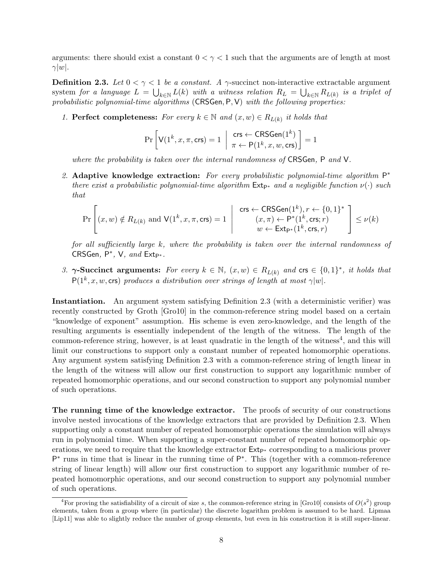arguments: there should exist a constant  $0 < \gamma < 1$  such that the arguments are of length at most *γ|w|*.

<span id="page-8-0"></span>**Definition 2.3.** *Let*  $0 < \gamma < 1$  *be a constant.* A  $\gamma$ -succinct non-interactive extractable argument  $\sum_{k \in \mathbb{N}} L(k)$  *with a witness relation*  $R_L = \bigcup_{k \in \mathbb{N}} R_{L(k)}$  *is a triplet of probabilistic polynomial-time algorithms* (CRSGen*,* P*,* V) *with the following properties:*

*1.* **Perfect completeness:** *For every*  $k \in \mathbb{N}$  *and*  $(x, w) \in R$ <sub>*L*(*k*)</sub> *it holds that* 

$$
\Pr\left[\mathsf{V}(1^k,x,\pi,\mathsf{crs})=1\ \left|\ \begin{array}{c} \mathsf{crs} \leftarrow \mathsf{CRSGen}(1^k) \\ \pi \leftarrow \mathsf{P}(1^k,x,w,\mathsf{crs}) \end{array} \right \right]=1
$$

*where the probability is taken over the internal randomness of* CRSGen*,* P *and* V*.*

2. **Adaptive knowledge extraction:** For every probabilistic polynomial-time algorithm  $P^*$ *there exist a probabilistic polynomial-time algorithm* Ext<sub>P<sup>∗</sup></sub> *and a negligible function ν*(*⋅*) *such that*

$$
\Pr\left[(x,w) \notin R_{L(k)} \text{ and } \mathsf{V}(1^k,x,\pi,\mathrm{crs}) = 1 \; \left| \begin{array}{c} \mathsf{crs} \leftarrow \mathsf{CRSGen}(1^k), r \leftarrow \{0,1\}^* \\ (x,\pi) \leftarrow \mathsf{P}^*(1^k,\mathrm{crs};r) \\ w \leftarrow \mathsf{Ext}_{\mathsf{P}^*}(1^k,\mathrm{crs},r) \end{array} \right] \leq \nu(k)
$$

*for all sufficiently large k, where the probability is taken over the internal randomness of* CRSGen, P<sup>\*</sup>, V, and Ext<sub>P</sub><sup>∗</sup>.

*3.*  $\gamma$ -Succinct arguments: For every  $k \in \mathbb{N}$ ,  $(x, w) \in R_{L(k)}$  and crs  $\in \{0, 1\}^*$ , it holds that  $P(1^k, x, w, \text{crs})$  produces a distribution over strings of length at most  $\gamma |w|$ .

**Instantiation.** An argument system satisfying Definition [2.3](#page-8-0) (with a deterministic verifier) was recently constructed by Groth [[Gro10\]](#page-27-11) in the common-reference string model based on a certain "knowledge of exponent" assumption. His scheme is even zero-knowledge, and the length of the resulting arguments is essentially independent of the length of the witness. The length of the common-reference string, however, is at least quadratic in the length of the witness<sup>[4](#page-8-1)</sup>, and this will limit our constructions to support only a constant number of repeated homomorphic operations. Any argument system satisfying Definition [2.3](#page-8-0) with a common-reference string of length linear in the length of the witness will allow our first construction to support any logarithmic number of repeated homomorphic operations, and our second construction to support any polynomial number of such operations.

**The running time of the knowledge extractor.** The proofs of security of our constructions involve nested invocations of the knowledge extractors that are provided by Definition [2.3](#page-8-0). When supporting only a constant number of repeated homomorphic operations the simulation will always run in polynomial time. When supporting a super-constant number of repeated homomorphic operations, we need to require that the knowledge extractor  $Ext_{P*}$  corresponding to a malicious prover P<sup>∗</sup> runs in time that is linear in the running time of P<sup>∗</sup>. This (together with a common-reference string of linear length) will allow our first construction to support any logarithmic number of repeated homomorphic operations, and our second construction to support any polynomial number of such operations.

<span id="page-8-1"></span><sup>&</sup>lt;sup>4</sup>For proving the satisfiability of a circuit of size s, the common-reference string in [[Gro10](#page-27-11)] consists of  $O(s^2)$  group elements, taken from a group where (in particular) the discrete logarithm problem is assumed to be hard. Lipmaa [[Lip11](#page-27-12)] was able to slightly reduce the number of group elements, but even in his construction it is still super-linear.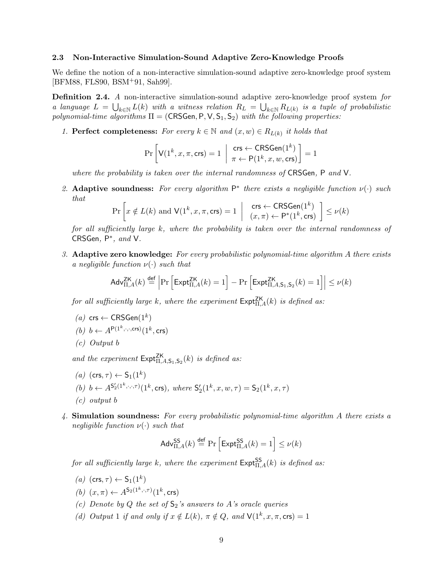#### <span id="page-9-0"></span>**2.3 Non-Interactive Simulation-Sound Adaptive Zero-Knowledge Proofs**

We define the notion of a non-interactive simulation-sound adaptive zero-knowledge proof system [\[BFM88,](#page-25-5) [FLS90](#page-26-13), [BSM](#page-26-14)+91, [Sah99\]](#page-27-4).

**Definition 2.4.** *A* non-interactive simulation-sound adaptive zero-knowledge proof system *for a* language  $L = \bigcup_{k \in \mathbb{N}} L(k)$  with a witness relation  $R_L = \bigcup_{k \in \mathbb{N}} R_{L(k)}$  is a tuple of probabilistic *polynomial-time algorithms*  $\Pi = (CRSGen, P, V, S_1, S_2)$  *with the following properties:* 

*1.* **Perfect completeness:** *For every*  $k \in \mathbb{N}$  *and*  $(x, w) \in R$ <sub>*L*(*k*)</sub> *it holds that* 

$$
\Pr\left[\mathsf{V}(1^k,x,\pi,\mathsf{crs})=1 \ \Bigg| \ \begin{matrix} \mathsf{crs} \leftarrow \mathsf{CRSGen}(1^k) \\ \pi \leftarrow \mathsf{P}(1^k,x,w,\mathsf{crs}) \end{matrix} \right]=1
$$

*where the probability is taken over the internal randomness of* CRSGen*,* P *and* V*.*

*2.* **Adaptive soundness:** *For every algorithm* P *∗ there exists a negligible function ν*(*·*) *such that*

$$
\Pr\left[x \notin L(k) \text{ and } \mathsf{V}(1^k, x, \pi, \mathsf{crs}) = 1 \mid \begin{array}{c} \mathsf{crs} \leftarrow \mathsf{CRSGen}(1^k) \\ (x, \pi) \leftarrow \mathsf{P}^*(1^k, \mathsf{crs}) \end{array}\right] \le \nu(k)
$$

*for all sufficiently large k, where the probability is taken over the internal randomness of* CRSGen*,* P *∗ , and* V*.*

*3.* **Adaptive zero knowledge:** *For every probabilistic polynomial-time algorithm A there exists a negligible function ν*(*·*) *such that*

$$
\mathsf{Adv}_{\Pi,A}^{\mathsf{ZK}}(k) \stackrel{\mathsf{def}}{=} \Big|\mathsf{Pr}\left[\mathsf{Expt}_{\Pi,A}^{\mathsf{ZK}}(k) = 1\right] - \mathsf{Pr}\left[\mathsf{Expt}_{\Pi,A,\mathsf{S}_1,\mathsf{S}_2}^{\mathsf{ZK}}(k) = 1\right]\Big| \leq \nu(k)
$$

*for all sufficiently large k, where the experiment*  $\textsf{Expt}_{\Pi,A}^{\textsf{ZK}}(k)$  *is defined as:* 

- $(a)$  crs ← CRSGen $(1<sup>k</sup>)$
- $(b)$  *b* ← *A*<sup>P(1*k*</sup>*,·,·crs*)</sup>(1*k*<sup>*,*</sup>, crs)
- *(c) Output b*

and the experiment  $\text{Ext}_{\Pi,A,\mathsf{S}_1,\mathsf{S}_2}^{\mathsf{ZK}}(k)$  *is defined as:* 

- $(a)$  (crs,  $\tau$ )  $\leftarrow$  S<sub>1</sub>(1<sup>k</sup>)  $(b)$   $b \leftarrow A^{S'_2(1^k, \cdot, \cdot, \tau)}(1^k, \text{crs})$ , where  $S'_2(1^k, x, w, \tau) = S_2(1^k, x, \tau)$ *(c) output b*
- *4.* **Simulation soundness:** *For every probabilistic polynomial-time algorithm A there exists a negligible function ν*(*·*) *such that*

$$
\mathsf{Adv}_{\Pi,A}^{\mathsf{SS}}(k) \stackrel{\mathsf{def}}{=} \Pr\Big[\mathsf{Expt}_{\Pi,A}^{\mathsf{SS}}(k) = 1\Big] \leq \nu(k)
$$

 $for \ all \ sufficiently \ large \ k, \ where \ the \ experiment \ \textsf{Expt}_{\Pi,A}^{\textsf{SS}}(k) \ is \ defined \ as:$ 

- $(a)$  (crs,  $\tau$ )  $\leftarrow$  S<sub>1</sub>(1<sup>k</sup>)
- *(b)*  $(x, π)$  ←  $A^{S_2(1^k, ⋅, τ)}(1^k, crs)$
- *(c)* Denote by  $Q$  the set of  $S_2$ 's answers to  $A$ 's oracle queries
- *(d) Output* 1 *if and only if*  $x \notin L(k)$ ,  $\pi \notin Q$ , and  $\mathsf{V}(1^k, x, \pi, \text{crs}) = 1$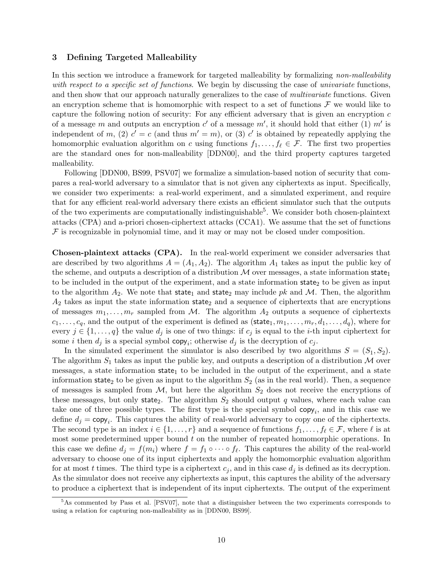## <span id="page-10-0"></span>**3 Defining Targeted Malleability**

In this section we introduce a framework for targeted malleability by formalizing *non-malleability with respect to a specific set of functions*. We begin by discussing the case of *univariate* functions, and then show that our approach naturally generalizes to the case of *multivariate* functions. Given an encryption scheme that is homomorphic with respect to a set of functions  $\mathcal F$  we would like to capture the following notion of security: For any efficient adversary that is given an encryption *c* of a message *m* and outputs an encryption *c'* of a message  $m'$ , it should hold that either (1)  $m'$  is independent of *m*, (2)  $c' = c$  (and thus  $m' = m$ ), or (3) c' is obtained by repeatedly applying the homomorphic evaluation algorithm on *c* using functions  $f_1, \ldots, f_\ell \in \mathcal{F}$ . The first two properties are the standard ones for non-malleability [[DDN00\]](#page-26-2), and the third property captures targeted malleability.

Following [[DDN00](#page-26-2), [BS99](#page-26-3), [PSV07](#page-27-2)] we formalize a simulation-based notion of security that compares a real-world adversary to a simulator that is not given any ciphertexts as input. Specifically, we consider two experiments: a real-world experiment, and a simulated experiment, and require that for any efficient real-world adversary there exists an efficient simulator such that the outputs of the two experiments are computationally indistinguishable<sup>[5](#page-10-1)</sup>. We consider both chosen-plaintext attacks (CPA) and a-priori chosen-ciphertext attacks (CCA1). We assume that the set of functions *F* is recognizable in polynomial time, and it may or may not be closed under composition.

**Chosen-plaintext attacks (CPA).** In the real-world experiment we consider adversaries that are described by two algorithms  $A = (A_1, A_2)$ . The algorithm  $A_1$  takes as input the public key of the scheme, and outputs a description of a distribution  $M$  over messages, a state information state<sub>1</sub> to be included in the output of the experiment, and a state information  $\text{state}_2$  to be given as input to the algorithm  $A_2$ . We note that state<sub>1</sub> and state<sub>2</sub> may include *pk* and *M*. Then, the algorithm  $A_2$  takes as input the state information state<sub>2</sub> and a sequence of ciphertexts that are encryptions of messages  $m_1, \ldots, m_r$  sampled from *M*. The algorithm  $A_2$  outputs a sequence of ciphertexts  $c_1, \ldots, c_q$ , and the output of the experiment is defined as  $(\text{state}_1, m_1, \ldots, m_r, d_1, \ldots, d_q)$ , where for every  $j \in \{1, \ldots, q\}$  the value  $d_j$  is one of two things: if  $c_j$  is equal to the *i*-th input ciphertext for some *i* then  $d_j$  is a special symbol copy<sub>i</sub>; otherwise  $d_j$  is the decryption of  $c_j$ .

In the simulated experiment the simulator is also described by two algorithms  $S = (S_1, S_2)$ . The algorithm  $S_1$  takes as input the public key, and outputs a description of a distribution  $M$  over messages, a state information  $\text{state}_1$  to be included in the output of the experiment, and a state information state<sub>2</sub> to be given as input to the algorithm  $S_2$  (as in the real world). Then, a sequence of messages is sampled from  $M$ , but here the algorithm  $S_2$  does not receive the encryptions of these messages, but only state<sub>2</sub>. The algorithm  $S_2$  should output  $q$  values, where each value can take one of three possible types. The first type is the special symbol copy*<sup>i</sup>* , and in this case we define  $d_j = \text{copy}_i$ . This captures the ability of real-world adversary to copy one of the ciphertexts. The second type is an index  $i \in \{1, \ldots, r\}$  and a sequence of functions  $f_1, \ldots, f_\ell \in \mathcal{F}$ , where  $\ell$  is at most some predetermined upper bound *t* on the number of repeated homomorphic operations. In this case we define  $d_j = f(m_i)$  where  $f = f_1 \circ \cdots \circ f_\ell$ . This captures the ability of the real-world adversary to choose one of its input ciphertexts and apply the homomorphic evaluation algorithm for at most *t* times. The third type is a ciphertext  $c_j$ , and in this case  $d_j$  is defined as its decryption. As the simulator does not receive any ciphertexts as input, this captures the ability of the adversary to produce a ciphertext that is independent of its input ciphertexts. The output of the experiment

<span id="page-10-1"></span><sup>&</sup>lt;sup>5</sup>As commented by Pass et al. [\[PSV07\]](#page-27-2), note that a distinguisher between the two experiments corresponds to using a relation for capturing non-malleability as in [[DDN00](#page-26-2), [BS99\]](#page-26-3).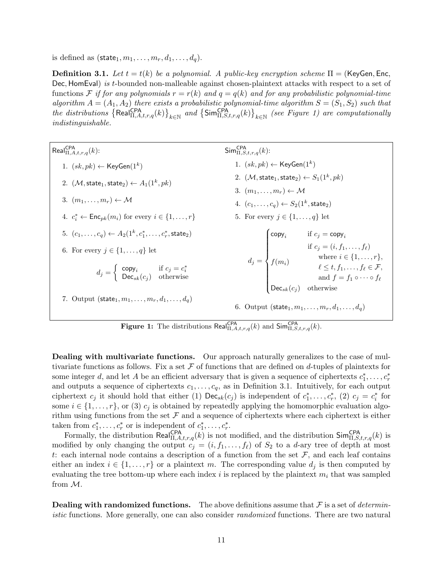is defined as  $(\text{state}_1, m_1, \ldots, m_r, d_1, \ldots, d_q)$ .

<span id="page-11-0"></span>**Definition 3.1.** *Let*  $t = t(k)$  *be a polynomial. A public-key encryption scheme*  $\Pi =$  (KeyGen, Enc, Dec*,* HomEval) *is t*-bounded non-malleable against chosen-plaintext attacks with respect to a set of functions F if for any polynomials  $r = r(k)$  and  $q = q(k)$  and for any probabilistic polynomial-time *algorithm*  $A = (A_1, A_2)$  *there exists a probabilistic polynomial-time algorithm*  $S = (S_1, S_2)$  *such that*  $\left\{ \text{Real}_{\Pi,A,t,r,q}^{\text{CPA}}(k) \right\}_{k \in \mathbb{N}}$  and  $\left\{ \text{Sim}_{\Pi,S,t,r,q}^{\text{CPA}}(k) \right\}_{k \in \mathbb{N}}$  (see Figure 1) are computationally *indistinguishable.*

 $\mathsf{Real}_{\Pi,A,t,r,q}^{\mathsf{CPA}}(k)$ : 1. (*sk, pk*) *←* KeyGen(1*<sup>k</sup>* )  $2. \, (\mathcal{M}, \textsf{state}_1, \textsf{state}_2) \leftarrow A_1(1^k, pk)$ 3.  $(m_1, \ldots, m_r) \leftarrow M$ 4.  $c_i^*$  ← **Enc**<sub>pk</sub>( $m_i$ ) for every  $i \in \{1, \ldots, r\}$ 5.  $(c_1, \ldots, c_q) \leftarrow A_2(1^k, c_1^*, \ldots, c_r^*, \textsf{state}_2)$ 6. For every  $j \in \{1, \ldots, q\}$  let  $d_j =$  $\begin{cases} \text{copy}_i & \text{if } c_j = c_i^* \\ \text{Dec}_{sk}(c_j) & \text{otherwise} \end{cases}$ 7. Output  $({\sf state}_1, m_1, \ldots, m_r, d_1, \ldots, d_q)$  $\mathsf{Sim}_{\Pi,S,t,r,q}^{\mathsf{CPA}}(k)$ : 1. (*sk, pk*) *←* KeyGen(1*<sup>k</sup>* )  $2. \, (\mathcal{M}, \textsf{state}_1, \textsf{state}_2) \leftarrow S_1(1^k, pk)$ 3.  $(m_1, \ldots, m_r) \leftarrow \mathcal{M}$  $4. (c_1, \ldots, c_q)$  ←  $S_2(1^k, \text{state}_2)$ 5. For every  $j \in \{1, \ldots, q\}$  let  $d_j = \begin{cases}$  $\sqrt{ }$   $\text{copy}_i$  if  $c_j = \text{copy}_i$  $f(m_i)$ if  $c_j = (i, f_1, \ldots, f_\ell)$ where  $i \in \{1, ..., r\}$ ,  $\ell \leq t, f_1, \ldots, f_{\ell} \in \mathcal{F},$ and  $f = f_1 \circ \cdots \circ f_\ell$  $\mathsf{Dec}_{sk}(c_j)$  otherwise 6. Output  $({\sf state}_1, m_1, \ldots, m_r, d_1, \ldots, d_q)$ 

**Figure 1:** The distributions Real  ${}^{CPA}_{\Pi,A,t,r,q}(k)$  and  $\textsf{Sim}_{\Pi,S,t,r,q}^{CPA}(k)$ .

**Dealing with multivariate functions.** Our approach naturally generalizes to the case of multivariate functions as follows. Fix a set *F* of functions that are defined on *d*-tuples of plaintexts for some integer *d*, and let *A* be an efficient adversary that is given a sequence of ciphertexts  $c_1^*, \ldots, c_r^*$ and outputs a sequence of ciphertexts  $c_1, \ldots, c_q$ , as in Definition [3.1.](#page-11-0) Intuitively, for each output ciphertext  $c_j$  it should hold that either (1)  $\text{Dec}_{sk}(c_j)$  is independent of  $c_1^*, \ldots, c_r^*$ , (2)  $c_j = c_i^*$  for some  $i \in \{1, \ldots, r\}$ , or (3)  $c_j$  is obtained by repeatedly applying the homomorphic evaluation algorithm using functions from the set  $\mathcal F$  and a sequence of ciphertexts where each ciphertext is either taken from  $c_1^*, \ldots, c_r^*$  or is independent of  $c_1^*, \ldots, c_r^*$ .

Formally, the distribution Real<sup>CPA</sup> $_{\Pi,A,t,r,q}(k)$  is not modified, and the distribution  $\textsf{Sim}_{\Pi,S,t,r,q}^{\textsf{CPA}}(k)$  is modified by only changing the output  $c_j = (i, f_1, \ldots, f_\ell)$  of  $S_2$  to a *d*-ary tree of depth at most *t*: each internal node contains a description of a function from the set  $F$ , and each leaf contains either an index  $i \in \{1, \ldots, r\}$  or a plaintext *m*. The corresponding value  $d_j$  is then computed by evaluating the tree bottom-up where each index  $i$  is replaced by the plaintext  $m_i$  that was sampled from *M*.

**Dealing with randomized functions.** The above definitions assume that *F* is a set of *deterministic* functions. More generally, one can also consider *randomized* functions. There are two natural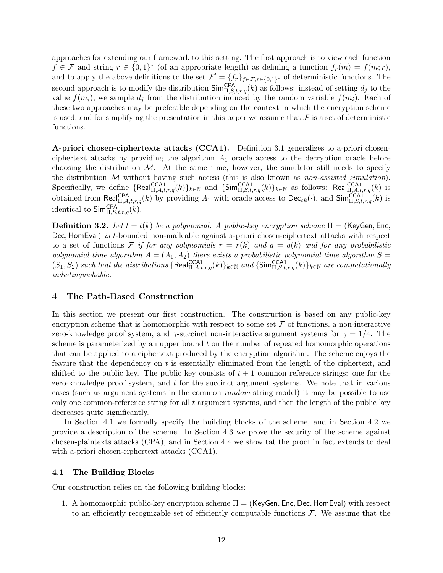approaches for extending our framework to this setting. The first approach is to view each function  $f \in \mathcal{F}$  and string  $r \in \{0,1\}^*$  (of an appropriate length) as defining a function  $f_r(m) = f(m;r)$ , and to apply the above definitions to the set  $\mathcal{F}' = \{f_r\}_{f \in \mathcal{F}, r \in \{0,1\}^*}$  of deterministic functions. The second approach is to modify the distribution  $\textsf{Sim}_{\Pi,S,t,r,q}^{\textsf{CPA}}(k)$  as follows: instead of setting  $d_j$  to the value  $f(m_i)$ , we sample  $d_i$  from the distribution induced by the random variable  $f(m_i)$ . Each of these two approaches may be preferable depending on the context in which the encryption scheme is used, and for simplifying the presentation in this paper we assume that  $\mathcal F$  is a set of deterministic functions.

**A-priori chosen-ciphertexts attacks (CCA1).** Definition [3.1](#page-11-0) generalizes to a-priori chosenciphertext attacks by providing the algorithm *A*<sup>1</sup> oracle access to the decryption oracle before choosing the distribution  $M$ . At the same time, however, the simulator still needs to specify the distribution *M* without having such access (this is also known as *non-assisted simulation*). Specifically, we define  $\{Real_{\Pi,A,t,r,q}^{\text{CCA1}}(k)\}_{k\in\mathbb{N}}$  and  $\{Sim_{\Pi,S,t,r,q}^{\text{CCA1}}(k)\}_{k\in\mathbb{N}}$  as follows: Real $_{\Pi,A,t,r,q}^{\text{CCA1}}(k)$  is obtained from Real<sup>CPA</sup><sub> $\Pi$ </sub>,*A*<sub>*t,r,q*</sub>(*k*) by providing *A*<sub>1</sub> with oracle access to Dec<sub>*sk*</sub>(*·*), and  $\textsf{Sim}_{\Pi,S,t,r,q}^{\textsf{CCA1}}(k)$  is identical to  $\mathsf{Sim}^{\mathsf{CPA}}_{\Pi,S,t,r,q}(k)$ .

**Definition 3.2.** *Let*  $t = t(k)$  *be a polynomial. A public-key encryption scheme*  $\Pi =$  (KeyGen, Enc, Dec*,* HomEval) *is t*-bounded non-malleable against a-priori chosen-ciphertext attacks with respect to a set of functions  $\mathcal F$  *if for any polynomials*  $r = r(k)$  *and*  $q = q(k)$  *and for any probabilistic polynomial-time algorithm*  $A = (A_1, A_2)$  *there exists a probabilistic polynomial-time algorithm*  $S =$  $(S_1, S_2)$  such that the distributions  $\{Real_{\Pi,A,t,r,q}^{CCA1}(k)\}_{k\in\mathbb{N}}$  and  $\{Sim_{\Pi,S,t,r,q}^{CCA1}(k)\}_{k\in\mathbb{N}}$  are computationally *indistinguishable.*

#### <span id="page-12-0"></span>**4 The Path-Based Construction**

In this section we present our first construction. The construction is based on any public-key encryption scheme that is homomorphic with respect to some set  $\mathcal F$  of functions, a non-interactive zero-knowledge proof system, and  $\gamma$ -succinct non-interactive argument systems for  $\gamma = 1/4$ . The scheme is parameterized by an upper bound *t* on the number of repeated homomorphic operations that can be applied to a ciphertext produced by the encryption algorithm. The scheme enjoys the feature that the dependency on *t* is essentially eliminated from the length of the ciphertext, and shifted to the public key. The public key consists of  $t + 1$  common reference strings: one for the zero-knowledge proof system, and *t* for the succinct argument systems. We note that in various cases (such as argument systems in the common *random* string model) it may be possible to use only one common-reference string for all *t* argument systems, and then the length of the public key decreases quite significantly.

In Section [4.1](#page-12-1) we formally specify the building blocks of the scheme, and in Section [4.2](#page-13-0) we provide a description of the scheme. In Section [4.3](#page-14-0) we prove the security of the scheme against chosen-plaintexts attacks (CPA), and in Section [4.4](#page-18-0) we show tat the proof in fact extends to deal with a-priori chosen-ciphertext attacks (CCA1).

#### <span id="page-12-1"></span>**4.1 The Building Blocks**

Our construction relies on the following building blocks:

1. A homomorphic public-key encryption scheme Π = (KeyGen*,* Enc*,* Dec*,* HomEval) with respect to an efficiently recognizable set of efficiently computable functions  $\mathcal F$ . We assume that the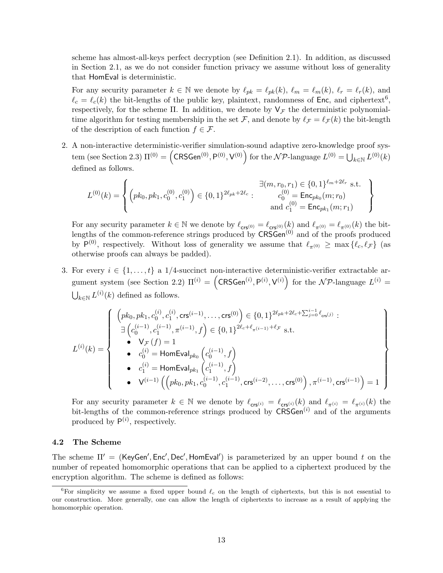scheme has almost-all-keys perfect decryption (see Definition [2.1](#page-6-1)). In addition, as discussed in Section [2.1](#page-6-2), as we do not consider function privacy we assume without loss of generality that HomEval is deterministic.

For any security parameter  $k \in \mathbb{N}$  we denote by  $\ell_{pk} = \ell_{pk}(k)$ ,  $\ell_m = \ell_m(k)$ ,  $\ell_r = \ell_r(k)$ , and  $\ell_c = \ell_c(k)$  the bit-lengths of the public key, plaintext, randomness of Enc, and ciphertext<sup>[6](#page-13-1)</sup>, respectively, for the scheme Π. In addition, we denote by  $V_{\mathcal{F}}$  the deterministic polynomialtime algorithm for testing membership in the set *F*, and denote by  $\ell_{\mathcal{F}} = \ell_{\mathcal{F}}(k)$  the bit-length of the description of each function  $f \in \mathcal{F}$ .

2. A non-interactive deterministic-verifier simulation-sound adaptive zero-knowledge proof sys-tem (see Section [2.3](#page-9-0))  $\Pi^{(0)} = \left( \text{CRSGen}^{(0)}, \text{P}^{(0)}, \text{V}^{(0)} \right)$  for the  $N \mathcal{P}$ -language  $L^{(0)} = \bigcup_{k \in \mathbb{N}} L^{(0)}(k)$ defined as follows.

$$
L^{(0)}(k) = \left\{ \left( pk_0, pk_1, c_0^{(0)}, c_1^{(0)} \right) \in \{0, 1\}^{2\ell_{pk} + 2\ell_c} : \begin{array}{c} \exists (m, r_0, r_1) \in \{0, 1\}^{\ell_m + 2\ell_r} \text{ s.t.} \\ c_0^{(0)} = \text{Enc}_{pk_0}(m; r_0) \\ \text{and } c_1^{(0)} = \text{Enc}_{pk_1}(m; r_1) \end{array} \right\}
$$

For any security parameter  $k \in \mathbb{N}$  we denote by  $\ell_{\text{crs}}(0) = \ell_{\text{crs}}(0)$  and  $\ell_{\pi}(0) = \ell_{\pi}(0)$  (*k*) the bitlengths of the common-reference strings produced by  $CRSGen^{(0)}$  and of the proofs produced by  $P^{(0)}$ , respectively. Without loss of generality we assume that  $\ell_{\pi^{(0)}} \ge \max{\{\ell_c, \ell_{\mathcal{F}}\}}$  (as otherwise proofs can always be padded).

3. For every  $i \in \{1, \ldots, t\}$  a 1/4-succinct non-interactive deterministic-verifier extractable ar-gument system (see Section [2.2](#page-7-0))  $\Pi^{(i)} = \left( \text{CRSGen}^{(i)}, \text{P}^{(i)}, \text{V}^{(i)} \right)$  for the *NP*-language  $L^{(i)} =$  $\bigcup_{k \in \mathbb{N}} L^{(i)}(k)$  defined as follows.

$$
L^{(i)}(k) = \left\{\begin{array}{ll} \left( pk_0, pk_1, c_0^{(i)}, c_1^{(i)}, \text{crs}^{(i-1)}, \ldots, \text{crs}^{(0)} \right) \in \{0, 1\}^{2\ell_{pk} + 2\ell_{c} + \sum_{j=0}^{i-1} \ell_{\text{crs}}(j)}: \\ \exists \left( c_0^{(i-1)}, c_1^{(i-1)}, \pi^{(i-1)}, f \right) \in \{0, 1\}^{2\ell_{c} + \ell_{\pi^{(i-1)}} + \ell_{\mathcal{F}}} \text{ s.t. } \\ \bullet \quad \mathsf{V}_{\mathcal{F}}\left(f\right) = 1 \\ \bullet \quad c_0^{(i)} = \text{HomEval}_{pk_0} \left( c_0^{(i-1)}, f \right) \\ \bullet \quad c_1^{(i)} = \text{HomEval}_{pk_1} \left( c_1^{(i-1)}, f \right) \\ \bullet \quad \mathsf{V}^{(i-1)}\left( \left( pk_0, pk_1, c_0^{(i-1)}, c_1^{(i-1)}, \text{crs}^{(i-2)}, \ldots, \text{crs}^{(0)} \right), \pi^{(i-1)}, \text{crs}^{(i-1)} \right) = 1 \end{array} \right\}
$$

For any security parameter  $k \in \mathbb{N}$  we denote by  $\ell_{\mathsf{crs}}(i) = \ell_{\mathsf{crs}}(i)$  and  $\ell_{\pi}(i) = \ell_{\pi}(i)$  the bit-lengths of the common-reference strings produced by CRSGen<sup>(*i*)</sup> and of the arguments produced by  $P^{(i)}$ , respectively.

### <span id="page-13-0"></span>**4.2 The Scheme**

The scheme Π*′* = (KeyGen*′ ,* Enc*′ ,* Dec*′ ,* HomEval*′* ) is parameterized by an upper bound *t* on the number of repeated homomorphic operations that can be applied to a ciphertext produced by the encryption algorithm. The scheme is defined as follows:

<span id="page-13-1"></span><sup>6</sup>For simplicity we assume a fixed upper bound *ℓ<sup>c</sup>* on the length of ciphertexts, but this is not essential to our construction. More generally, one can allow the length of ciphertexts to increase as a result of applying the homomorphic operation.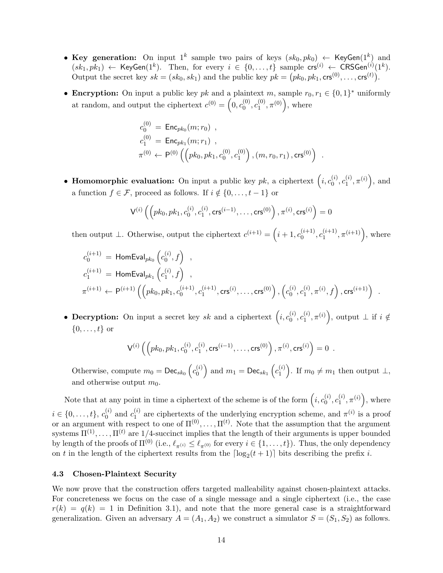- Key generation: On input  $1^k$  sample two pairs of keys  $(sk_0, pk_0) \leftarrow \text{KeyGen}(1^k)$  and  $(sk_1, pk_1) \leftarrow \text{KeyGen}(1^k)$ . Then, for every  $i \in \{0, \ldots, t\}$  sample  $\text{crs}^{(i)} \leftarrow \text{CRSGen}^{(i)}(1^k)$ . Output the secret key  $sk = (sk_0, sk_1)$  and the public key  $pk = (pk_0, pk_1, \text{crs}^{(0)}, \dots, \text{crs}^{(t)})$ .
- **Encryption:** On input a public key *pk* and a plaintext *m*, sample  $r_0, r_1 \in \{0, 1\}^*$  uniformly at random, and output the ciphertext  $c^{(0)} = \left(0, c_0^{(0)}\right)$  $\overset{(0)}{0},\overset{(0)}{c_1^0}$  $\binom{0}{1}, \pi^{(0)}$ , where

$$
c_0^{(0)} = \text{Enc}_{pk_0}(m; r_0) ,\n c_1^{(0)} = \text{Enc}_{pk_1}(m; r_1) ,\n \pi^{(0)} \leftarrow \mathsf{P}^{(0)} \left( \left( pk_0, pk_1, c_0^{(0)}, c_1^{(0)} \right), (m, r_0, r_1), \text{crs}^{(0)} \right) .
$$

• **Homomorphic evaluation:** On input a public key  $pk$ , a ciphertext  $(i, c_0^{(i)}, c_1^{(i)})$  $\binom{(i)}{1}, \pi^{(i)}$ , and a function  $f \in \mathcal{F}$ , proceed as follows. If  $i \notin \{0, \ldots, t-1\}$  or

$$
\mathsf{V}^{(i)}\left(\left(pk_0, pk_1, c_0^{(i)}, c_1^{(i)}, \mathsf{crs}^{(i-1)}, \dots, \mathsf{crs}^{(0)}\right), \pi^{(i)}, \mathsf{crs}^{(i)}\right) = 0
$$

then output *⊥*. Otherwise, output the ciphertext  $c^{(i+1)} = (i+1, c_0^{(i+1)})$  $c_1^{(i+1)}, c_1^{(i+1)}$  $i^{(i+1)}$ ,  $\pi^{(i+1)}$ , where

$$
\begin{aligned} c_0^{(i+1)} \ & = \ \mathsf{HomEval}_{pk_0}\left(c_0^{(i)}, f\right) \enspace, \\ c_1^{(i+1)} \ & = \ \mathsf{HomEval}_{pk_1}\left(c_1^{(i)}, f\right) \enspace, \\ \pi^{(i+1)} \ & \leftarrow \mathsf{P}^{(i+1)}\left(\left(pk_0, pk_1, c_0^{(i+1)}, c_1^{(i+1)}, \mathsf{crs}^{(i)}, \dots, \mathsf{crs}^{(0)}\right), \left(c_0^{(i)}, c_1^{(i)}, \pi^{(i)}, f\right), \mathsf{crs}^{(i+1)}\right) \enspace. \end{aligned}
$$

• **Decryption:** On input a secret key *sk* and a ciphertext  $(i, c_0^{(i)}, c_1^{(i)})$  $\binom{i}{1}, \pi^{(i)}$ , output  $\perp$  if  $i \notin$ *{*0*, . . . , t}* or

$$
\mathsf{V}^{(i)}\left(\left(pk_0, pk_1, c_0^{(i)}, c_1^{(i)}, \mathsf{crs}^{(i-1)}, \ldots, \mathsf{crs}^{(0)}\right), \pi^{(i)}, \mathsf{crs}^{(i)}\right) = 0.
$$

Otherwise, compute  $m_0 = \text{Dec}_{sk_0} \left( c_0^{(i)} \right)$  $\boldsymbol{0}$ and  $m_1 = \text{Dec}_{sk_1} \left( c_1^{(i)} \right)$ 1 ). If  $m_0 \neq m_1$  then output *⊥*, and otherwise output  $m_0$ .

Note that at any point in time a ciphertext of the scheme is of the form  $(i, c_0^{(i)}, c_1^{(i)})$  $\binom{(i)}{1}, \pi^{(i)}$ , where  $i \in \{0, \ldots, t\}, c_0^{(i)}$  $c_0^{(i)}$  and  $c_1^{(i)}$ <sup>(*i*</sup>)</sub> are ciphertexts of the underlying encryption scheme, and  $\pi^{(i)}$  is a proof or an argument with respect to one of  $\Pi^{(0)}, \ldots, \Pi^{(t)}$ . Note that the assumption that the argument systems  $\Pi^{(1)}, \ldots, \Pi^{(t)}$  are 1/4-succinct implies that the length of their arguments is upper bounded by length of the proofs of  $\Pi^{(0)}$  (i.e.,  $\ell_{\pi^{(i)}} \leq \ell_{\pi^{(0)}}$  for every  $i \in \{1, \ldots, t\}$ ). Thus, the only dependency on *t* in the length of the ciphertext results from the  $\lceil \log_2(t+1) \rceil$  bits describing the prefix *i*.

## <span id="page-14-0"></span>**4.3 Chosen-Plaintext Security**

We now prove that the construction offers targeted malleability against chosen-plaintext attacks. For concreteness we focus on the case of a single message and a single ciphertext (i.e., the case  $r(k) = q(k) = 1$  in Definition [3.1](#page-11-0)), and note that the more general case is a straightforward generalization. Given an adversary  $A = (A_1, A_2)$  we construct a simulator  $S = (S_1, S_2)$  as follows.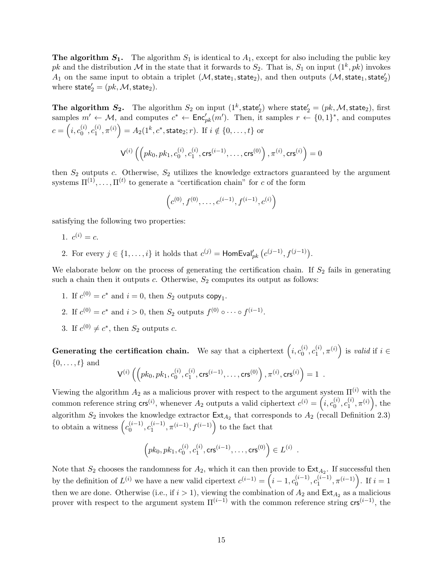**The algorithm**  $S_1$ **.** The algorithm  $S_1$  is identical to  $A_1$ , except for also including the public key *pk* and the distribution *M* in the state that it forwards to  $S_2$ . That is,  $S_1$  on input  $(1^k, pk)$  invokes  $A_1$  on the same input to obtain a triplet  $(\mathcal{M},\mathsf{state}_1,\mathsf{state}_2),$  and then outputs  $(\mathcal{M},\mathsf{state}_1,\mathsf{state}'_2)$ where  $\textsf{state}'_2 = (pk, \mathcal{M}, \textsf{state}_2).$ 

**The algorithm**  $S_2$ **.** The algorithm  $S_2$  on input  $(1^k, \text{state}_2')$  where  $\text{state}_2' = (pk, \mathcal{M}, \text{state}_2)$ , first samples  $m' \leftarrow M$ , and computes  $c^* \leftarrow \text{Enc}'_{pk}(m')$ . Then, it samples  $r \leftarrow \{0,1\}^*$ , and computes  $c = (i, c_0^{(i)}, c_1^{(i)})$  $\begin{bmatrix} (i) \ 1 \end{bmatrix}$ ,  $\pi^{(i)}$   $\Big) = A_2(1^k, c^*,$  state<sub>2</sub>; *r*). If  $i \notin \{0, \ldots, t\}$  or  ${\sf V}^{(i)}\left(\left(\mathit{pk}_0,\mathit{pk}_1,c_0^{(i)}\right)\right.$  $c_0^{(i)},c_1^{(i)}$  $\left(\begin{smallmatrix} (i)\ 1\end{smallmatrix}\right), \mathsf{crs}^{(i-1)}, \ldots, \mathsf{crs}^{(0)}\Big)$  ,  $\pi^{(i)}, \mathsf{crs}^{(i)}\Big) = 0$ 

then *S*<sup>2</sup> outputs *c*. Otherwise, *S*<sup>2</sup> utilizes the knowledge extractors guaranteed by the argument systems  $\Pi^{(1)}, \ldots, \Pi^{(t)}$  to generate a "certification chain" for *c* of the form

$$
\left(c^{(0)},f^{(0)},\ldots,c^{(i-1)},f^{(i-1)},c^{(i)}\right)
$$

satisfying the following two properties:

$$
1. \, c^{(i)} = c.
$$

2. For every  $j \in \{1, ..., i\}$  it holds that  $c^{(j)} = \text{HomEval}'_{pk}(c^{(j-1)}, f^{(j-1)})$ .

We elaborate below on the process of generating the certification chain. If  $S_2$  fails in generating such a chain then it outputs  $c$ . Otherwise,  $S_2$  computes its output as follows:

- 1. If  $c^{(0)} = c^*$  and  $i = 0$ , then  $S_2$  outputs  $\text{copy}_1$ .
- 2. If  $c^{(0)} = c^*$  and  $i > 0$ , then  $S_2$  outputs  $f^{(0)} \circ \cdots \circ f^{(i-1)}$ .
- 3. If  $c^{(0)} \neq c^*$ , then  $S_2$  outputs *c*.

**Generating the certification chain.** We say that a ciphertext  $(i, c_0^{(i)}, c_1^{(i)})$  $\binom{i}{1}, \pi^{(i)}$  is *valid* if  $i \in$ *{*0*, . . . , t}* and

$$
\mathsf{V}^{(i)}\left(\left(pk_0, pk_1, c_0^{(i)}, c_1^{(i)}, \mathsf{crs}^{(i-1)}, \ldots, \mathsf{crs}^{(0)}\right), \pi^{(i)}, \mathsf{crs}^{(i)}\right) = 1 \enspace .
$$

Viewing the algorithm  $A_2$  as a malicious prover with respect to the argument system  $\Pi^{(i)}$  with the common reference string  $\text{crs}^{(i)}$ , whenever  $A_2$  outputs a valid ciphertext  $c^{(i)} = \left(i, c_0^{(i)}, c_1^{(i)}\right)$  $j_{1}^{(i)}, \pi^{(i)}$ , the algorithm  $S_2$  invokes the knowledge extractor  $\text{Ext}_{A_2}$  that corresponds to  $A_2$  (recall Definition [2.3\)](#page-8-0) to obtain a witness  $\left(c_0^{(i-1)}\right)$  $c_0^{(i-1)}, c_1^{(i-1)}$  $\left(\begin{matrix} i-1 \\ 1 \end{matrix}\right)$ ,  $\pi$ <sup>(*i*-1)</sup>,  $f$ <sup>(*i*-1)</sup>) to the fact that

$$
(pk_0, pk_1, c_0^{(i)}, c_1^{(i)}, \text{crs}^{(i-1)}, \dots, \text{crs}^{(0)}) \in L^{(i)}.
$$

Note that  $S_2$  chooses the randomness for  $A_2$ , which it can then provide to  $\text{Ext}_{A_2}$ . If successful then by the definition of  $L^{(i)}$  we have a new valid cipertext  $c^{(i-1)} = \left(i - 1, c_0^{(i-1)}\right)$  $c_0^{(i-1)}, c_1^{(i-1)}$  $\left(\begin{matrix} i-1 \\ 1 \end{matrix}\right), \pi^{(i-1)}$ . If  $i=1$ then we are done. Otherwise (i.e., if  $i > 1$ ), viewing the combination of  $A_2$  and  $\text{Ext}_{A_2}$  as a malicious prover with respect to the argument system  $\Pi^{(i-1)}$  with the common reference string  $\mathsf{crs}^{(i-1)}$ , the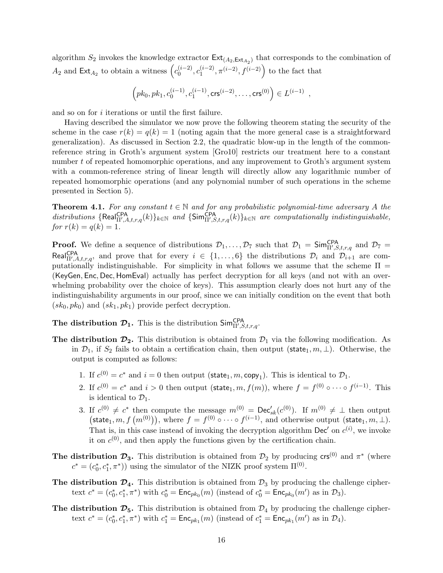algorithm  $S_2$  invokes the knowledge extractor  $\text{Ext}_{(A_2, \text{Ext}_{A_2})}$  that corresponds to the combination of  $A_2$  and  $\text{Ext}_{A_2}$  to obtain a witness  $(c_0^{(i-2)}$  $c_0^{(i-2)}$ ,  $c_1^{(i-2)}$  $\left( \frac{i-2}{1}, \pi^{(i-2)}, f^{(i-2)} \right)$  to the fact that

$$
\left( pk_0, pk_1, c_0^{(i-1)}, c_1^{(i-1)}, \text{crs}^{(i-2)}, \ldots, \text{crs}^{(0)} \right) \in L^{(i-1)},
$$

and so on for *i* iterations or until the first failure.

Having described the simulator we now prove the following theorem stating the security of the scheme in the case  $r(k) = q(k) = 1$  (noting again that the more general case is a straightforward generalization). As discussed in Section [2.2](#page-7-0), the quadratic blow-up in the length of the commonreference string in Groth's argument system [[Gro10\]](#page-27-11) restricts our treatment here to a constant number *t* of repeated homomorphic operations, and any improvement to Groth's argument system with a common-reference string of linear length will directly allow any logarithmic number of repeated homomorphic operations (and any polynomial number of such operations in the scheme presented in Section [5](#page-20-0)).

<span id="page-16-0"></span>**Theorem 4.1.** For any constant  $t \in \mathbb{N}$  and for any probabilistic polynomial-time adversary A the distributions  $\{Real_{\Pi',A,t,r,q}^{CPA}(k)\}_{k\in\mathbb{N}}$  and  $\{Sim_{\Pi',S,t,r,q}^{CPA}(k)\}_{k\in\mathbb{N}}$  are computationally indistinguishable, *for*  $r(k) = q(k) = 1$ *.* 

**Proof.** We define a sequence of distributions  $\mathcal{D}_1, \ldots, \mathcal{D}_7$  such that  $\mathcal{D}_1 = \mathsf{Sim}_{\Pi',S,t,r,q}^{\mathsf{CPA}}$  and  $\mathcal{D}_7 =$ Real<sup>CPA</sup><sub>II',A,t,r,q</sub>, and prove that for every  $i \in \{1,\ldots,6\}$  the distributions  $\mathcal{D}_i$  and  $\mathcal{D}_{i+1}$  are computationally indistinguishable. For simplicity in what follows we assume that the scheme  $\Pi$  = (KeyGen*,* Enc*,* Dec*,* HomEval) actually has perfect decryption for all keys (and not with an overwhelming probability over the choice of keys). This assumption clearly does not hurt any of the indistinguishability arguments in our proof, since we can initially condition on the event that both  $(sk_0, pk_0)$  and  $(sk_1, pk_1)$  provide perfect decryption.

**The distribution**  $\mathcal{D}_1$ **.** This is the distribution  $\mathsf{Sim}^{\mathsf{CPA}}_{\Pi',S,t,r,q}.$ 

- **The distribution**  $\mathcal{D}_2$ **.** This distribution is obtained from  $\mathcal{D}_1$  via the following modification. As in  $\mathcal{D}_1$ , if  $S_2$  fails to obtain a certification chain, then output (state<sub>1</sub>, *m*, *⊥*). Otherwise, the output is computed as follows:
	- 1. If  $c^{(0)} = c^*$  and  $i = 0$  then output (state<sub>1</sub>, *m*, copy<sub>1</sub>). This is identical to  $\mathcal{D}_1$ .
	- 2. If  $c^{(0)} = c^*$  and  $i > 0$  then output (state<sub>1</sub>,  $m, f(m)$ ), where  $f = f^{(0)} \circ \cdots \circ f^{(i-1)}$ . This is identical to  $\mathcal{D}_1$ .
	- 3. If  $c^{(0)} \neq c^*$  then compute the message  $m^{(0)} = \text{Dec}'_{sk}(c^{(0)})$ . If  $m^{(0)} \neq \perp$  then output  $(\text{state}_1, m, f(m^{(0)})),$  where  $f = f^{(0)} \circ \cdots \circ f^{(i-1)}$ , and otherwise output  $(\text{state}_1, m, \perp)$ . That is, in this case instead of invoking the decryption algorithm  $\text{Dec}'$  on  $c^{(i)}$ , we invoke it on  $c^{(0)}$ , and then apply the functions given by the certification chain.
- **The distribution**  $\mathcal{D}_3$ **. This distribution is obtained from**  $\mathcal{D}_2$  **by producing crs<sup>(0)</sup> and**  $\pi^*$  **(where**  $c^* = (c_0^*, c_1^*, \pi^*)$  using the simulator of the NIZK proof system  $\Pi^{(0)}$ .
- **The distribution**  $\mathcal{D}_4$ **.** This distribution is obtained from  $\mathcal{D}_3$  by producing the challenge ciphertext  $c^* = (c_0^*, c_1^*, \pi^*)$  with  $c_0^* = \text{Enc}_{pk_0}(m)$  (instead of  $c_0^* = \text{Enc}_{pk_0}(m')$  as in  $\mathcal{D}_3$ ).
- **The distribution**  $\mathcal{D}_5$ **. This distribution is obtained from**  $\mathcal{D}_4$  **by producing the challenge cipher**text  $c^* = (c_0^*, c_1^*, \pi^*)$  with  $c_1^* = \text{Enc}_{pk_1}(m)$  (instead of  $c_1^* = \text{Enc}_{pk_1}(m')$  as in  $\mathcal{D}_4$ ).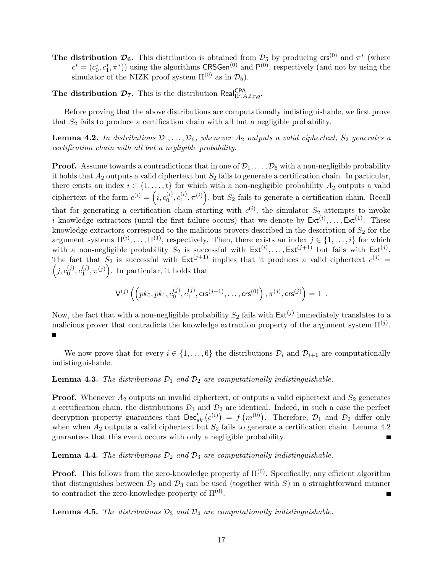**The distribution**  $\mathcal{D}_6$ **. This distribution is obtained from**  $\mathcal{D}_5$  **by producing crs<sup>(0)</sup> and**  $\pi^*$  **(where**  $c^* = (c_0^*, c_1^*, \pi^*)$  using the algorithms CRSGen<sup>(0)</sup> and P<sup>(0)</sup>, respectively (and not by using the simulator of the NIZK proof system  $\Pi^{(0)}$  as in  $\mathcal{D}_5$ ).

**The distribution**  $\mathcal{D}_7$ **.** This is the distribution Real $_{\Pi',A,t,r,q}^{\mathsf{CPA}}$ .

Before proving that the above distributions are computationally indistinguishable, we first prove that *S*<sup>2</sup> fails to produce a certification chain with all but a negligible probability.

<span id="page-17-0"></span>**Lemma 4.2.** In distributions  $\mathcal{D}_1, \ldots, \mathcal{D}_6$ , whenever  $A_2$  outputs a valid ciphertext,  $S_2$  generates a *certification chain with all but a negligible probability.*

**Proof.** Assume towards a contradictions that in one of  $\mathcal{D}_1, \ldots, \mathcal{D}_6$  with a non-negligible probability it holds that *A*<sup>2</sup> outputs a valid ciphertext but *S*<sup>2</sup> fails to generate a certification chain. In particular, there exists an index  $i \in \{1, \ldots, t\}$  for which with a non-negligible probability  $A_2$  outputs a valid ciphertext of the form  $c^{(i)} = (i, c_0^{(i)}, c_1^{(i)})$  $\binom{i}{1}, \pi^{(i)}$ , but  $S_2$  fails to generate a certification chain. Recall that for generating a certification chain starting with  $c^{(i)}$ , the simulator  $S_2$  attempts to invoke *i* knowledge extractors (until the first failure occurs) that we denote by  $\text{Ext}^{(i)}, \ldots, \text{Ext}^{(1)}$ . These knowledge extractors correspond to the malicious provers described in the description of *S*<sup>2</sup> for the argument systems  $\Pi^{(i)}, \ldots, \Pi^{(1)}$ , respectively. Then, there exists an index  $j \in \{1, \ldots, i\}$  for which with a non-negligible probability  $S_2$  is successful with  $\text{Ext}^{(i)}, \ldots, \text{Ext}^{(j+1)}$  but fails with  $\text{Ext}^{(j)}$ . The fact that  $S_2$  is successful with  $\text{Ext}^{(j+1)}$  implies that it produces a valid ciphertext  $c^{(j)}$  =  $\left(j, c_0^{(j)}, c_1^{(j)}\right)$  $\left( \begin{matrix} (j) \ 1 \end{matrix} \right)$ ,  $\left( \begin{matrix} (j) \ 1 \end{matrix} \right)$ . In particular, it holds that

$$
\mathsf{V}^{(j)}\left(\left(pk_0, pk_1, c_0^{(j)}, c_1^{(j)}, \mathsf{crs}^{(j-1)}, \ldots, \mathsf{crs}^{(0)}\right), \pi^{(j)}, \mathsf{crs}^{(j)}\right) = 1 \enspace .
$$

Now, the fact that with a non-negligible probability  $S_2$  fails with  $\mathsf{Ext}^{(j)}$  immediately translates to a malicious prover that contradicts the knowledge extraction property of the argument system  $\Pi^{(j)}$ .  $\blacksquare$ 

We now prove that for every  $i \in \{1, \ldots, 6\}$  the distributions  $\mathcal{D}_i$  and  $\mathcal{D}_{i+1}$  are computationally indistinguishable.

### **Lemma 4.3.** *The distributions*  $\mathcal{D}_1$  *and*  $\mathcal{D}_2$  *are computationally indistinguishable.*

**Proof.** Whenever  $A_2$  outputs an invalid ciphertext, or outputs a valid ciphertext and  $S_2$  generates a certification chain, the distributions  $\mathcal{D}_1$  and  $\mathcal{D}_2$  are identical. Indeed, in such a case the perfect decryption property guarantees that  $\text{Dec}'_{sk}(c^{(i)}) = f(m^{(0)})$ . Therefore,  $\mathcal{D}_1$  and  $\mathcal{D}_2$  differ only when when  $A_2$  outputs a valid ciphertext but  $S_2$  fails to generate a certification chain. Lemma [4.2](#page-17-0) guarantees that this event occurs with only a negligible probability.

<span id="page-17-2"></span>**Lemma 4.4.** *The distributions*  $\mathcal{D}_2$  *and*  $\mathcal{D}_3$  *are computationally indistinguishable.* 

**Proof.** This follows from the zero-knowledge property of  $\Pi^{(0)}$ . Specifically, any efficient algorithm that distinguishes between  $\mathcal{D}_2$  and  $\mathcal{D}_3$  can be used (together with *S*) in a straightforward manner to contradict the zero-knowledge property of  $\Pi^{(0)}$ .

<span id="page-17-1"></span>**Lemma 4.5.** *The distributions D*<sup>3</sup> *and D*<sup>4</sup> *are computationally indistinguishable.*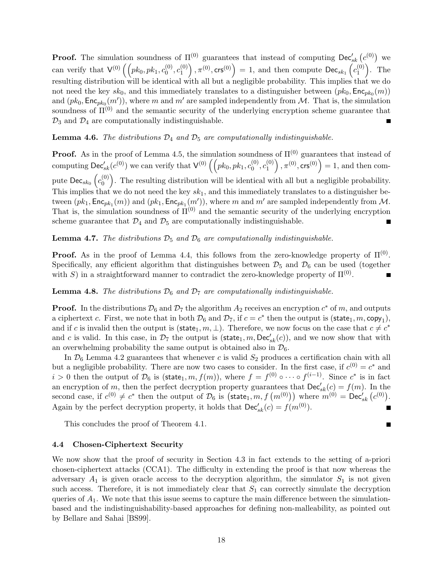**Proof.** The simulation soundness of  $\Pi^{(0)}$  guarantees that instead of computing  $\text{Dec}'_{sk}(c^{(0)})$  we can verify that  $V^{(0)}$   $($   $(pk_0, pk_1, c_0^{(0)})$  $\bigg), \pi^{(0)}, \textsf{crs}^{(0)}\bigg) = 1$ , and then compute  $\textsf{Dec}_{sk_1}\left(c_1^{(0)}\right)$ ) . The  $\overset{(0)}{0},\overset{(0)}{c_1^0}$ 1 1 resulting distribution will be identical with all but a negligible probability. This implies that we do not need the key  $sk_0$ , and this immediately translates to a distinguisher between  $(pk_0, \text{Enc}_{pk_0}(m))$ and  $(pk_0, \textsf{Enc}_{pk_0}(m'))$ , where *m* and *m'* are sampled independently from *M*. That is, the simulation soundness of  $\Pi^{(0)}$  and the semantic security of the underlying encryption scheme guarantee that  $\mathcal{D}_3$  and  $\mathcal{D}_4$  are computationally indistinguishable. П

**Lemma 4.6.** *The distributions D*<sup>4</sup> *and D*<sup>5</sup> *are computationally indistinguishable.*

**Proof.** As in the proof of Lemma [4.5,](#page-17-1) the simulation soundness of  $\Pi^{(0)}$  guarantees that instead of computing  $\mathsf{Dec}_{sk}(\overline{c}^{(0)})$  we can verify that  $\mathsf{V}^{(0)}\left(\left(\overline{pk_0}, \overline{pk_1}, c_0^{(0)}\right)\right)$  $\overset{(0)}{0},\overset{(0)}{c_1^0}$ 1  $\big)$ ,  $\pi^{(0)}$ ,  $\text{crs}^{(0)}$  = 1, and then compute  $\mathsf{Dec}_{sk_0}\left(\mathbf{\overline{c}_0^{(0)}}\right)$  $\mathbf{0}$ ) . The resulting distribution will be identical with all but a negligible probability. This implies that we do not need the key *sk*1, and this immediately translates to a distinguisher between  $(pk_1, \textsf{Enc}_{pk_1}(m))$  and  $(pk_1, \textsf{Enc}_{pk_1}(m'))$ , where *m* and *m'* are sampled independently from *M*. That is, the simulation soundness of  $\Pi^{(0)}$  and the semantic security of the underlying encryption scheme guarantee that  $\mathcal{D}_4$  and  $\mathcal{D}_5$  are computationally indistinguishable.

**Lemma 4.7.** *The distributions*  $\mathcal{D}_5$  *and*  $\mathcal{D}_6$  *are computationally indistinguishable.* 

**Proof.** As in the proof of Lemma [4.4,](#page-17-2) this follows from the zero-knowledge property of  $\Pi^{(0)}$ . Specifically, any efficient algorithm that distinguishes between  $\mathcal{D}_5$  and  $\mathcal{D}_6$  can be used (together with *S*) in a straightforward manner to contradict the zero-knowledge property of  $\Pi^{(0)}$ .

**Lemma 4.8.** *The distributions*  $\mathcal{D}_6$  *and*  $\mathcal{D}_7$  *are computationally indistinguishable.* 

**Proof.** In the distributions  $\mathcal{D}_6$  and  $\mathcal{D}_7$  the algorithm  $A_2$  receives an encryption  $c^*$  of m, and outputs a ciphertext *c*. First, we note that in both  $\mathcal{D}_6$  and  $\mathcal{D}_7$ , if  $c = c^*$  then the output is (state<sub>1</sub>, m, copy<sub>1</sub>), and if *c* is invalid then the output is (state<sub>1</sub>,  $m$ ,  $\perp$ ). Therefore, we now focus on the case that  $c \neq c^*$ and *c* is valid. In this case, in  $\mathcal{D}_7$  the output is (state<sub>1</sub>, m, Dec<sup>'</sup><sub>sk</sub>(*c*)), and we now show that with an overwhelming probability the same output is obtained also in  $\mathcal{D}_6$ .

In  $\mathcal{D}_6$  Lemma [4.2](#page-17-0) guarantees that whenever *c* is valid  $S_2$  produces a certification chain with all but a negligible probability. There are now two cases to consider. In the first case, if  $c^{(0)} = c^*$  and *i* > 0 then the output of  $\mathcal{D}_6$  is (state<sub>1</sub>, *m*, *f*(*m*)), where *f* = *f*<sup>(0)</sup> ○ · · · ○ *f*<sup>(*i*-1)</sup>. Since *c*<sup>\*</sup> is in fact an encryption of *m*, then the perfect decryption property guarantees that  $\text{Dec}'_{sk}(c) = f(m)$ . In the second case, if  $c^{(0)} \neq c^*$  then the output of  $\mathcal{D}_6$  is  $(\text{state}_1, m, f(m^{(0)}))$  where  $m^{(0)} = \text{Dec}_{sk}^{\prime}(c^{(0)})$ . Again by the perfect decryption property, it holds that  $\text{Dec}'_{sk}(c) = f(m^{(0)})$ . Е

Е

This concludes the proof of Theorem [4.1.](#page-16-0)

# <span id="page-18-0"></span>**4.4 Chosen-Ciphertext Security**

We now show that the proof of security in Section [4.3](#page-14-0) in fact extends to the setting of a-priori chosen-ciphertext attacks (CCA1). The difficulty in extending the proof is that now whereas the adversary  $A_1$  is given oracle access to the decryption algorithm, the simulator  $S_1$  is not given such access. Therefore, it is not immediately clear that  $S_1$  can correctly simulate the decryption queries of  $A_1$ . We note that this issue seems to capture the main difference between the simulationbased and the indistinguishability-based approaches for defining non-malleability, as pointed out by Bellare and Sahai [[BS99\]](#page-26-3).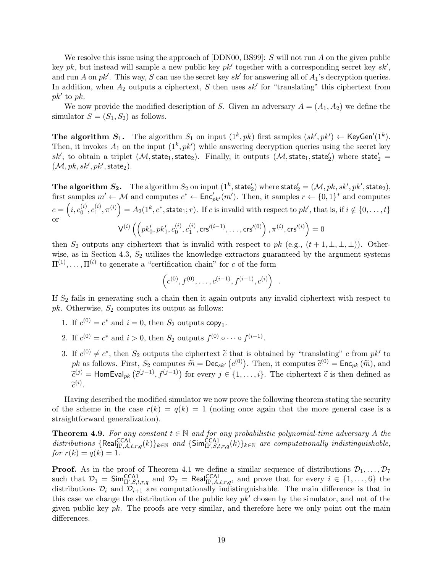We resolve this issue using the approach of [[DDN00,](#page-26-2) [BS99](#page-26-3)]: *S* will not run *A* on the given public key *pk*, but instead will sample a new public key *pk′* together with a corresponding secret key *sk′* , and run *A* on *pk′* . This way, *S* can use the secret key *sk′* for answering all of *A*1's decryption queries. In addition, when *A*<sup>2</sup> outputs a ciphertext, *S* then uses *sk′* for "translating" this ciphertext from *pk′* to *pk*.

We now provide the modified description of *S*. Given an adversary  $A = (A_1, A_2)$  we define the simulator  $S = (S_1, S_2)$  as follows.

**The algorithm**  $S_1$ **.** The algorithm  $S_1$  on input  $(1^k, pk)$  first samples  $(sk', pk') \leftarrow \text{KeyGen}'(1^k)$ . Then, it invokes  $A_1$  on the input  $(1^k, pk')$  while answering decryption queries using the secret key  $sk'$ , to obtain a triplet  $(M, \text{state}_1, \text{state}_2)$ . Finally, it outputs  $(M, \text{state}_1, \text{state}'_2)$  where  $\text{state}'_2$  =  $(\mathcal{M}, pk, sk', pk', \textsf{state}_2).$ 

**The algorithm**  $S_2$ **.** The algorithm  $S_2$  on input  $(1^k, \text{state}'_2)$  where  $\text{state}'_2 = (\mathcal{M}, pk, sk', pk', \text{state}_2)$ , first samples  $m' \leftarrow M$  and computes  $c^* \leftarrow \mathsf{Enc}'_{pk'}(m')$ . Then, it samples  $r \leftarrow \{0,1\}^*$  and computes  $c = (i, c_0^{(i)}, c_1^{(i)})$  $\binom{(i)}{1}, \pi^{(i)}$  =  $A_2(1^k, c^*, \text{state}_1; r)$ . If *c* is invalid with respect to *pk'*, that is, if  $i \notin \{0, \ldots, t\}$ or  $V^{(i)}\left(\left(\mathit{pk}'_0, \mathit{pk}'_1, \mathit{c}^{(i)}_0, \mathit{c}^{(i)}_1, \mathit{crs}'^{(i-1)}, \ldots, \mathit{crs}'^{(0)}\right), \pi^{(i)}, \mathit{crs}'^{(i)}\right)$ 

$$
\mathsf{V}^{(i)}\left(\left(pk'_0, pk'_1, c_0^{(i)}, c_1^{(i)}, \mathsf{crs'}^{(i-1)}, \dots, \mathsf{crs'}^{(0)}\right), \pi^{(i)}, \mathsf{crs'}^{(i)}\right) = 0
$$

then  $S_2$  outputs any ciphertext that is invalid with respect to  $pk$  (e.g.,  $(t + 1, \perp, \perp, \perp)$ ). Other-wise, as in Section [4.3,](#page-14-0)  $S_2$  utilizes the knowledge extractors guaranteed by the argument systems  $\Pi^{(1)}, \ldots, \Pi^{(t)}$  to generate a "certification chain" for *c* of the form

$$
(c^{(0)}, f^{(0)}, \ldots, c^{(i-1)}, f^{(i-1)}, c^{(i)})
$$
.

If *S*<sup>2</sup> fails in generating such a chain then it again outputs any invalid ciphertext with respect to *pk*. Otherwise, *S*<sup>2</sup> computes its output as follows:

- 1. If  $c^{(0)} = c^*$  and  $i = 0$ , then  $S_2$  outputs  $\text{copy}_1$ .
- 2. If  $c^{(0)} = c^*$  and  $i > 0$ , then  $S_2$  outputs  $f^{(0)} \circ \cdots \circ f^{(i-1)}$ .
- 3. If  $c^{(0)} \neq c^*$ , then  $S_2$  outputs the ciphertext  $\tilde{c}$  that is obtained by "translating" *c* from *pk'* to *pk* as follows. First,  $S_2$  computes  $\widetilde{m} = \text{Dec}_{sk'}(c^{(0)})$ . Then, it computes  $\widetilde{c}^{(0)} = \text{Enc}_{pk}(\widetilde{m})$ , and  $\widetilde{c}^{(j)}$  = HomEval<sub>pk</sub> ( $\widetilde{c}^{(j-1)}$ ,  $f^{(j-1)}$ ) for every  $j \in \{1, ..., i\}$ . The ciphertext  $\widetilde{c}$  is then defined as  $\widetilde{c}^{(i)}$ .

Having described the modified simulator we now prove the following theorem stating the security of the scheme in the case  $r(k) = q(k) = 1$  (noting once again that the more general case is a straightforward generalization).

**Theorem 4.9.** For any constant  $t \in \mathbb{N}$  and for any probabilistic polynomial-time adversary A the distributions  $\{Real_{\Pi',A,t,r,q}^{CCA1}(k)\}_{k\in\mathbb{N}}$  and  $\{Sim_{\Pi',S,t,r,q}^{CCA1}(k)\}_{k\in\mathbb{N}}$  are computationally indistinguishable, *for*  $r(k) = q(k) = 1$ .

**Proof.** As in the proof of Theorem [4.1](#page-16-0) we define a similar sequence of distributions  $\mathcal{D}_1, \ldots, \mathcal{D}_7$ such that  $\mathcal{D}_1 = \textsf{Sim}_{\Pi',S,t,r,q}^{\textsf{CCA1}}$  and  $\mathcal{D}_7 = \textsf{Real}_{\Pi',A,t,r,q}^{\textsf{CCA1}}$ , and prove that for every  $i \in \{1,\ldots,6\}$  the distributions  $\mathcal{D}_i$  and  $\mathcal{D}_{i+1}$  are computationally indistinguishable. The main difference is that in this case we change the distribution of the public key *pk′* chosen by the simulator, and not of the given public key *pk*. The proofs are very similar, and therefore here we only point out the main differences.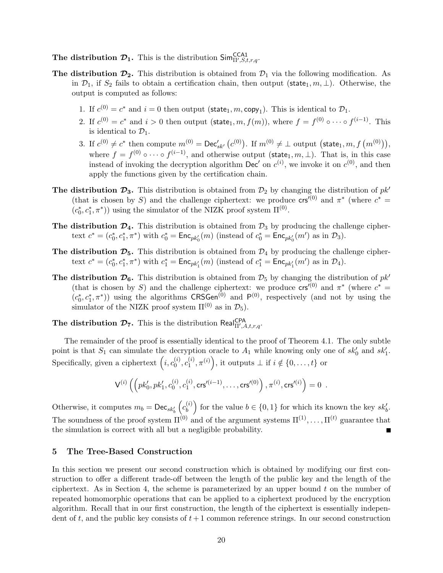**The distribution**  $\mathcal{D}_1$ **.** This is the distribution  $\textsf{Sim}_{\Pi',S,t,r,q}^{\textsf{CCA1}}$ .

- **The distribution**  $\mathcal{D}_2$ **.** This distribution is obtained from  $\mathcal{D}_1$  via the following modification. As in  $\mathcal{D}_1$ , if  $S_2$  fails to obtain a certification chain, then output (state<sub>1</sub>, m,  $\perp$ ). Otherwise, the output is computed as follows:
	- 1. If  $c^{(0)} = c^*$  and  $i = 0$  then output (state<sub>1</sub>, *m*, copy<sub>1</sub>). This is identical to  $\mathcal{D}_1$ .
	- 2. If  $c^{(0)} = c^*$  and  $i > 0$  then output (state<sub>1</sub>,  $m, f(m)$ ), where  $f = f^{(0)} \circ \cdots \circ f^{(i-1)}$ . This is identical to  $\mathcal{D}_1$ .
	- 3. If  $c^{(0)} \neq c^*$  then compute  $m^{(0)} = \mathsf{Dec}_{sk'}'(c^{(0)})$ . If  $m^{(0)} \neq \bot$  output  $\big( \mathsf{state}_1, m, f\left( m^{(0)} \right) \big),$ where  $f = f^{(0)} \circ \cdots \circ f^{(i-1)}$ , and otherwise output (state<sub>1</sub>, m, ⊥). That is, in this case instead of invoking the decryption algorithm  $\text{Dec}'$  on  $c^{(i)}$ , we invoke it on  $c^{(0)}$ , and then apply the functions given by the certification chain.
- **The distribution**  $\mathcal{D}_3$ **.** This distribution is obtained from  $\mathcal{D}_2$  by changing the distribution of  $pk'$ (that is chosen by *S*) and the challenge ciphertext: we produce  $\text{crs}'^{(0)}$  and  $\pi^*$  (where  $c^* =$  $(c_0^*, c_1^*, \pi^*)$  using the simulator of the NIZK proof system  $\Pi^{(0)}$ .
- **The distribution**  $\mathcal{D}_4$ **.** This distribution is obtained from  $\mathcal{D}_3$  by producing the challenge ciphertext  $c^* = (c_0^*, c_1^*, \pi^*)$  with  $c_0^* = \text{Enc}_{pk'_0}(m)$  (instead of  $c_0^* = \text{Enc}_{pk'_0}(m')$  as in  $\mathcal{D}_3$ ).
- **The distribution**  $\mathcal{D}_5$ **.** This distribution is obtained from  $\mathcal{D}_4$  by producing the challenge ciphertext  $c^* = (c_0^*, c_1^*, \pi^*)$  with  $c_1^* = \text{Enc}_{pk'_1}(m)$  (instead of  $c_1^* = \text{Enc}_{pk'_1}(m')$  as in  $\mathcal{D}_4$ ).
- **The distribution**  $\mathcal{D}_6$ **.** This distribution is obtained from  $\mathcal{D}_5$  by changing the distribution of  $pk'$ (that is chosen by *S*) and the challenge ciphertext: we produce  $\text{crs}'^{(0)}$  and  $\pi^*$  (where  $c^* =$  $(c_0^*, c_1^*, \pi^*)$  using the algorithms CRSGen<sup>(0)</sup> and P<sup>(0)</sup>, respectively (and not by using the simulator of the NIZK proof system  $\Pi^{(0)}$  as in  $\mathcal{D}_5$ ).

**The distribution**  $\mathcal{D}_7$ **.** This is the distribution Real $_{\Pi',A,t,r,q}^{\mathsf{CPA}}$ .

The remainder of the proof is essentially identical to the proof of Theorem [4.1](#page-16-0). The only subtle point is that  $S_1$  can simulate the decryption oracle to  $A_1$  while knowing only one of  $sk'_0$  and  $sk'_1$ . Specifically, given a ciphertext  $\left(i, c_0^{(i)}, c_1^{(i)}\right)$  $\overline{I}^{(i)}_{1}, \pi^{(i)}\Big)$ , it outputs  $\bot$  if  $i \notin \{0, \ldots, t\}$  or

$$
\mathsf{V}^{(i)}\left(\left(pk'_0, pk'_1, c_0^{(i)}, c_1^{(i)}, \mathsf{crs}'^{(i-1)}, \ldots, \mathsf{crs}'^{(0)}\right), \pi^{(i)}, \mathsf{crs}'^{(i)}\right) = 0 \enspace.
$$

Otherwise, it computes  $m_b = \textsf{Dec}_{sk'_b}$  $\left(c_h^{(i)}\right)$ *b* for the value  $b \in \{0, 1\}$  for which its known the key  $sk'_b$ . The soundness of the proof system  $\Pi^{(0)}$  and of the argument systems  $\Pi^{(1)}, \ldots, \Pi^{(t)}$  guarantee that the simulation is correct with all but a negligible probability.

### <span id="page-20-0"></span>**5 The Tree-Based Construction**

In this section we present our second construction which is obtained by modifying our first construction to offer a different trade-off between the length of the public key and the length of the ciphertext. As in Section [4,](#page-12-0) the scheme is parameterized by an upper bound *t* on the number of repeated homomorphic operations that can be applied to a ciphertext produced by the encryption algorithm. Recall that in our first construction, the length of the ciphertext is essentially independent of *t*, and the public key consists of *t*+ 1 common reference strings. In our second construction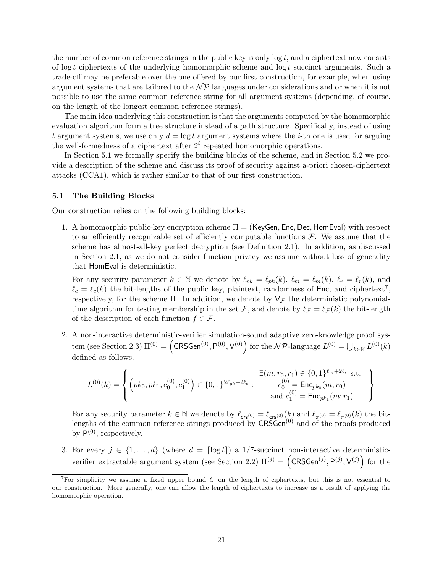the number of common reference strings in the public key is only log *t*, and a ciphertext now consists of log *t* ciphertexts of the underlying homomorphic scheme and log *t* succinct arguments. Such a trade-off may be preferable over the one offered by our first construction, for example, when using argument systems that are tailored to the *N P* languages under considerations and or when it is not possible to use the same common reference string for all argument systems (depending, of course, on the length of the longest common reference strings).

The main idea underlying this construction is that the arguments computed by the homomorphic evaluation algorithm form a tree structure instead of a path structure. Specifically, instead of using *t* argument systems, we use only *d* = log *t* argument systems where the *i*-th one is used for arguing the well-formedness of a ciphertext after  $2<sup>i</sup>$  repeated homomorphic operations.

In Section [5.1](#page-21-0) we formally specify the building blocks of the scheme, and in Section [5.2](#page-22-0) we provide a description of the scheme and discuss its proof of security against a-priori chosen-ciphertext attacks (CCA1), which is rather similar to that of our first construction.

#### <span id="page-21-0"></span>**5.1 The Building Blocks**

Our construction relies on the following building blocks:

1. A homomorphic public-key encryption scheme Π = (KeyGen*,* Enc*,* Dec*,* HomEval) with respect to an efficiently recognizable set of efficiently computable functions  $\mathcal F$ . We assume that the scheme has almost-all-key perfect decryption (see Definition [2.1](#page-6-1)). In addition, as discussed in Section [2.1](#page-6-2), as we do not consider function privacy we assume without loss of generality that HomEval is deterministic.

For any security parameter  $k \in \mathbb{N}$  we denote by  $\ell_{pk} = \ell_{pk}(k)$ ,  $\ell_m = \ell_m(k)$ ,  $\ell_r = \ell_r(k)$ , and  $\ell_c = \ell_c(k)$  the bit-lengths of the public key, plaintext, randomness of Enc, and ciphertext<sup>[7](#page-21-1)</sup>, respectively, for the scheme Π. In addition, we denote by  $V_{\mathcal{F}}$  the deterministic polynomialtime algorithm for testing membership in the set *F*, and denote by  $\ell_{\mathcal{F}} = \ell_{\mathcal{F}}(k)$  the bit-length of the description of each function  $f \in \mathcal{F}$ .

2. A non-interactive deterministic-verifier simulation-sound adaptive zero-knowledge proof sys-tem (see Section [2.3](#page-9-0))  $\Pi^{(0)} = (\text{CRSGen}^{(0)}, P^{(0)}, V^{(0)})$  for the  $N \mathcal{P}$ -language  $L^{(0)} = \bigcup_{k \in \mathbb{N}} L^{(0)}(k)$ defined as follows.

$$
L^{(0)}(k) = \left\{ \left( pk_0, pk_1, c_0^{(0)}, c_1^{(0)} \right) \in \{0, 1\}^{2\ell_{pk} + 2\ell_c} : \begin{matrix} \exists (m, r_0, r_1) \in \{0, 1\}^{\ell_m + 2\ell_r} \text{ s.t.} \\ c_0^{(0)} = \text{Enc}_{pk_0}(m; r_0) \\ \text{and } c_1^{(0)} = \text{Enc}_{pk_1}(m; r_1) \end{matrix} \right\}
$$

For any security parameter  $k \in \mathbb{N}$  we denote by  $\ell_{\text{crs}}(0) = \ell_{\text{crs}}(0)$  and  $\ell_{\pi(0)} = \ell_{\pi(0)}(k)$  the bitlengths of the common reference strings produced by  $CRSGen^{(0)}$  and of the proofs produced by  $P^{(0)}$ , respectively.

3. For every  $j \in \{1, ..., d\}$  (where  $d = \lceil \log t \rceil$ ) a 1/7-succinct non-interactive deterministic-verifier extractable argument system (see Section [2.2](#page-7-0))  $\Pi^{(j)} = \left( \text{CRSGen}^{(j)}, \text{P}^{(j)}, \text{V}^{(j)} \right)$  for the

<span id="page-21-1"></span><sup>7</sup>For simplicity we assume a fixed upper bound *ℓ<sup>c</sup>* on the length of ciphertexts, but this is not essential to our construction. More generally, one can allow the length of ciphertexts to increase as a result of applying the homomorphic operation.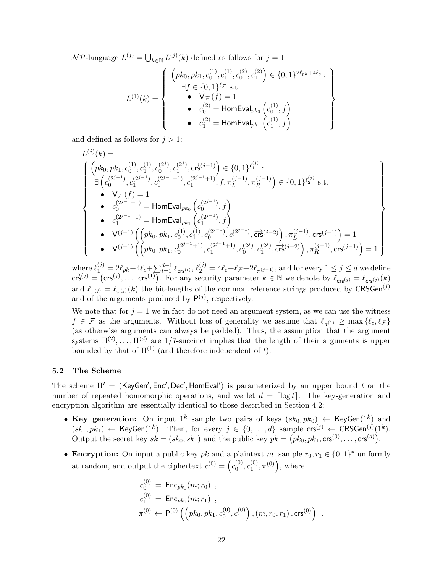$\mathcal{NP}$ -language  $L^{(j)} = \bigcup_{k \in \mathbb{N}} L^{(j)}(k)$  defined as follows for  $j = 1$ 

$$
L^{(1)}(k) = \left\{ \begin{array}{c} \left( pk_0, pk_1, c_0^{(1)}, c_1^{(1)}, c_0^{(2)}, c_1^{(2)} \right) \in \{0, 1\}^{2\ell_{pk} + 4\ell_c} : \\ \exists f \in \{0, 1\}^{\ell_{\mathcal{F}}} \text{ s.t. } \\ \bullet \quad \mathsf{V}_{\mathcal{F}}\left(f\right) = 1 \\ \bullet \quad c_0^{(2)} = \mathsf{HomEval}_{pk_0}\left( c_0^{(1)}, f \right) \\ \bullet \quad c_1^{(2)} = \mathsf{HomEval}_{pk_1}\left( c_1^{(1)}, f \right) \end{array} \right\}
$$

and defined as follows for  $j > 1$ :

$$
\label{eq:2} \begin{split} L^{(j)}(k)&=\left\{ \begin{array}{l} \left( pk_0, pk_1, c_0^{(1)}, c_1^{(2^j)}, c_0^{(2^j)}, \overrightarrow{\rm crs}^{(j-1)} \right) \in \{0,1\}^{\ell_1^{(j)}}: \\ &\exists \left( c_0^{(2^{j-1})}, c_1^{(2^{j-1})}, c_0^{(2^{j-1}+1)}, c_1^{(2^{j-1}+1)}, f, \pi_L^{(j-1)}, \pi_R^{(j-1)} \right) \in \{0,1\}^{\ell_2^{(j)}} \; \mathrm{s.t.}\\ &\quad \bullet \quad \mathsf{V}_{\mathcal{F}}\left(f\right)=1\\ &\quad \bullet \quad c_0^{(2^{j-1}+1)}=\mathsf{HomEval}_{pk_0}\left( c_0^{(2^{j-1})}, f\right)\\ &\quad \bullet \quad c_1^{(2^{j-1}+1)}=\mathsf{HomEval}_{pk_1}\left( c_1^{(2^{j-1})}, f\right)\\ &\quad \bullet \quad \mathsf{V}^{(j-1)}\left( \left( pk_0, pk_1, c_0^{(1)}, c_1^{(1)}, c_0^{(2^{j-1})}, c_1^{(2^{j-1})}, \overrightarrow{\rm crs}^{(j-2)} \right), \pi_L^{(j-1)}, \mathrm{crs}^{(j-1)} \right) =1\\ &\quad \bullet \quad \mathsf{V}^{(j-1)}\left( \left( pk_0, pk_1, c_0^{(2^{j-1}+1)}, c_1^{(2^{j-1}+1)}, c_0^{(2^{j})}, c_1^{(2^{j})}, \overrightarrow{\rm crs}^{(j-2)} \right), \pi_R^{(j-1)}, \mathrm{crs}^{(j-1)} \right) =1 \end{array} \right\} \end{split}
$$

where  $\ell_1^{(j)} = 2\ell_{pk} + 4\ell_c + \sum_{t=1}^{d-1} \ell_{\text{crs}(t)}, \ell_2^{(j)} = 4\ell_c + \ell_{\mathcal{F}} + 2\ell_{\pi(j-1)},$  and for every  $1 \leq j \leq d$  we define  $\overline{\text{crs}}^{(j)} = (\text{crs}^{(j)}, \dots, \text{crs}^{(1)})$ . For any security parameter  $k \in \mathbb{N}$  we denote by  $\overline{\ell}_{\text{crs}^{(j)}} = \ell_{\text{crs}^{(j)}}(k)$ and  $\ell_{\pi^{(j)}} = \ell_{\pi^{(j)}}(k)$  the bit-lengths of the common reference strings produced by CRSGen<sup>(*j*)</sup> and of the arguments produced by  $P^{(j)}$ , respectively.

We note that for  $j = 1$  we in fact do not need an argument system, as we can use the witness  $f \in \mathcal{F}$  as the arguments. Without loss of generality we assume that  $\ell_{\pi(1)} \ge \max{\ell_c, \ell_{\mathcal{F}}}$ (as otherwise arguments can always be padded). Thus, the assumption that the argument systems  $\Pi^{(2)}, \ldots, \Pi^{(d)}$  are 1/7-succinct implies that the length of their arguments is upper bounded by that of  $\Pi^{(1)}$  (and therefore independent of *t*).

### <span id="page-22-0"></span>**5.2 The Scheme**

The scheme Π*′* = (KeyGen*′ ,* Enc*′ ,* Dec*′ ,* HomEval*′* ) is parameterized by an upper bound *t* on the number of repeated homomorphic operations, and we let  $d = \lceil \log t \rceil$ . The key-generation and encryption algorithm are essentially identical to those described in Section [4.2](#page-13-0):

- Key generation: On input  $1^k$  sample two pairs of keys  $(sk_0, pk_0) \leftarrow \text{KeyGen}(1^k)$  and  $(sk_1, pk_1) \leftarrow \text{KeyGen}(1^k)$ . Then, for every  $j \in \{0, \ldots, d\}$  sample  $\text{crs}(j) \leftarrow \text{CRSGen}(j)(1^k)$ . Output the secret key  $sk = (sk_0, sk_1)$  and the public key  $pk = (pk_0, pk_1, \text{crs}^{(0)}, \dots, \text{crs}^{(d)})$ .
- **Encryption:** On input a public key *pk* and a plaintext *m*, sample  $r_0, r_1 \in \{0, 1\}^*$  uniformly at random, and output the ciphertext  $c^{(0)} = \begin{pmatrix} c_0^{(0)} \end{pmatrix}$  $c_0^{(0)}, c_1^{(0)}$  $\binom{(0)}{1}, \pi^{(0)}$ , where

$$
\begin{aligned} c_0^{(0)} \;&=\; \mathsf{Enc}_{pk_0}(m;r_0) \:\:, \\ c_1^{(0)} \;&=\; \mathsf{Enc}_{pk_1}(m;r_1) \:\:, \\ \pi^{(0)} \;&\leftarrow \mathsf{P}^{(0)}\left( \left( pk_0, pk_1, c_0^{(0)}, c_1^{(0)} \right), \left( m, r_0, r_1 \right), \mathsf{crs}^{(0)} \right) \:\: . \end{aligned}
$$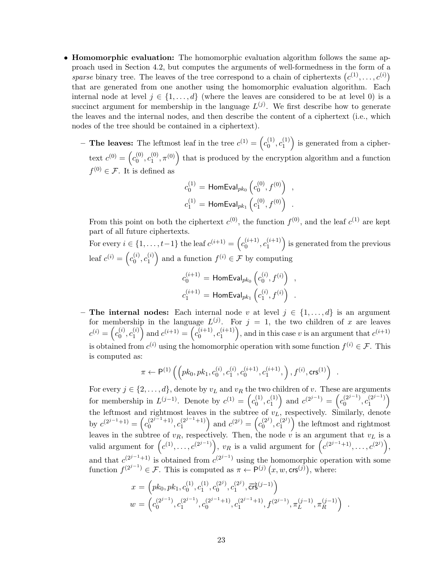- *•* **Homomorphic evaluation:** The homomorphic evaluation algorithm follows the same approach used in Section [4.2](#page-13-0), but computes the arguments of well-formedness in the form of a *sparse* binary tree. The leaves of the tree correspond to a chain of ciphertexts  $(c^{(1)}, \ldots, c^{(i)})$ that are generated from one another using the homomorphic evaluation algorithm. Each internal node at level  $j \in \{1, \ldots, d\}$  (where the leaves are considered to be at level 0) is a succinct argument for membership in the language  $L^{(j)}$ . We first describe how to generate the leaves and the internal nodes, and then describe the content of a ciphertext (i.e., which nodes of the tree should be contained in a ciphertext).
	- **The leaves:** The leftmost leaf in the tree  $c^{(1)} = \left(c_0^{(1)}\right)^2$  $c_0^{(1)}, c_1^{(1)}$ 1 ) is generated from a ciphertext  $c^{(0)} = \left(c_0^{(0)}\right)$  $\binom{00}{0},c_1^{(0)}$  $\mathbf{L}_{1}^{(0)}$ ,  $\pi^{(0)}$ ) that is produced by the encryption algorithm and a function  $f^{(0)} \in \mathcal{F}$ . It is defined as

$$
\begin{aligned} c_0^{(1)} \, &= \, \mathsf{HomEval}_{pk0} \left( c_0^{(0)}, f^{(0)} \right) \;\;, \\ c_1^{(1)} \, &= \, \mathsf{HomEval}_{pk1} \left( c_1^{(0)}, f^{(0)} \right) \;\;. \end{aligned}
$$

From this point on both the ciphertext  $c^{(0)}$ , the function  $f^{(0)}$ , and the leaf  $c^{(1)}$  are kept part of all future ciphertexts.

For every  $i \in \{1, ..., t-1\}$  the leaf  $c^{(i+1)} = \left(c_0^{(i+1)}\right)$  $c_0^{(i+1)}, c_1^{(i+1)}$ 1 ) is generated from the previous leaf  $c^{(i)} = \left( c_0^{(i)} \right)$  $\binom{(i)}{0},c_1^{(i)}$ 1 ) and a function  $f^{(i)} \in \mathcal{F}$  by computing

$$
\begin{aligned} c_0^{(i+1)} &= \mathsf{HomEval}_{pk_0}\left(c_0^{(i)}, f^{(i)}\right) \enspace , \\ c_1^{(i+1)} &= \mathsf{HomEval}_{pk_1}\left(c_1^{(i)}, f^{(i)}\right) \enspace . \end{aligned}
$$

**– The internal nodes:** Each internal node *v* at level *j ∈ {*1*, . . . , d}* is an argument for membership in the language  $L^{(j)}$ . For  $j = 1$ , the two children of x are leaves  $c^{(i)} = \left(c_0^{(i)}\right)$  $\binom{(i)}{0},c_1^{(i)}$ 1  $\int$  and  $c^{(i+1)} = \begin{pmatrix} c_0^{(i+1)} \\ c_1^{(i+1)} \end{pmatrix}$  $c_0^{(i+1)}, c_1^{(i+1)}$ 1 ), and in this case *v* is an argument that  $c^{(i+1)}$ is obtained from  $c^{(i)}$  using the homomorphic operation with some function  $f^{(i)} \in \mathcal{F}$ . This is computed as:

$$
\pi \leftarrow \mathsf{P}^{(1)}\left(\left(pk_0, pk_1, c_0^{(i)}, c_1^{(i)}, c_0^{(i+1)}, c_1^{(i+1)}, \right), f^{(i)}, \mathsf{crs}^{(1)}\right) \enspace .
$$

For every  $j \in \{2, \ldots, d\}$ , denote by  $v_L$  and  $v_R$  the two children of *v*. These are arguments for membership in  $L^{(j-1)}$ . Denote by  $c^{(1)} = \left( c_0^{(1)} \right)$  $c_1^{(1)}, c_1^{(1)}$ 1  $\int$  and  $c^{(2^{j-1})} = \left(c_0^{(2^{j-1})}\right)$  $c_0^{(2^{j-1})}, c_1^{(2^{j-1})}$ 1  $\setminus$ the leftmost and rightmost leaves in the subtree of *vL*, respectively. Similarly, denote by  $c^{(2^{j-1}+1)} = \left(c_0^{(2^{j-1}+1)}\right)$  $c_0^{(2^{j-1}+1)}, c_1^{(2^{j-1}+1)}$ 1 ) and  $c^{(2^j)} = \left(c_0^{(2^j)}\right)$  $c_0^{(2^j)}, c_1^{(2^j)}$ 1 ) the leftmost and rightmost leaves in the subtree of  $v_R$ , respectively. Then, the node  $v$  is an argument that  $v_L$  is a valid argument for  $(c^{(1)}, \ldots, c^{(2^{j-1})})$ ,  $v_R$  is a valid argument for  $(c^{(2^{j-1}+1)}, \ldots, c^{(2^{j})})$ , and that  $c^{(2^{j-1}+1)}$  is obtained from  $c^{(2^{j-1})}$  using the homomorphic operation with some function  $f^{(2^{j-1})} \in \mathcal{F}$ . This is computed as  $\pi \leftarrow P^{(j)}(x, w, \text{crs}^{(j)})$ , where:

$$
\begin{array}{ll} \boldsymbol{x}=\left(pk_{0},pk_{1},c_{0}^{(1)},c_{1}^{(1)},c_{0}^{(2^{j})},c_{1}^{(2^{j})},\overrightarrow{\mathrm{crs}}^{(j-1)}\right)\\ \boldsymbol{w}=\left(c_{0}^{(2^{j-1})},c_{1}^{(2^{j-1})},c_{0}^{(2^{j-1}+1)},c_{1}^{(2^{j-1}+1)},f^{(2^{j-1})},\pi_{L}^{(j-1)},\pi_{R}^{(j-1)}\right)\end{array}
$$

*.*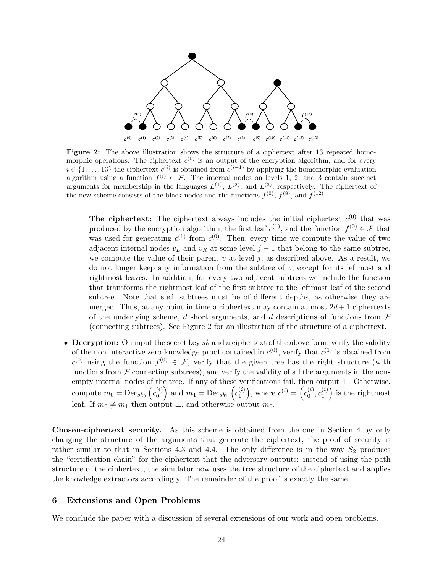<span id="page-24-1"></span>

**Figure 2:** The above illustration shows the structure of a ciphertext after 13 repeated homomorphic operations. The ciphertext  $c^{(0)}$  is an output of the encryption algorithm, and for every  $i \in \{1, \ldots, 13\}$  the ciphertext  $c^{(i)}$  is obtained from  $c^{(i-1)}$  by applying the homomorphic evaluation algorithm using a function  $f^{(i)} \in \mathcal{F}$ . The internal nodes on levels 1, 2, and 3 contain succinct arguments for membership in the languages  $L^{(1)}$ ,  $L^{(2)}$ , and  $L^{(3)}$ , respectively. The ciphertext of the new scheme consists of the black nodes and the functions  $f^{(0)}$ ,  $f^{(8)}$ , and  $f^{(12)}$ .

- **– The ciphertext:** The ciphertext always includes the initial ciphertext *c* (0) that was produced by the encryption algorithm, the first leaf  $c^{(1)}$ , and the function  $f^{(0)} \in \mathcal{F}$  that was used for generating  $c^{(1)}$  from  $c^{(0)}$ . Then, every time we compute the value of two adjacent internal nodes  $v_L$  and  $v_R$  at some level  $j-1$  that belong to the same subtree, we compute the value of their parent  $v$  at level  $j$ , as described above. As a result, we do not longer keep any information from the subtree of *v*, except for its leftmost and rightmost leaves. In addition, for every two adjacent subtrees we include the function that transforms the rightmost leaf of the first subtree to the leftmost leaf of the second subtree. Note that such subtrees must be of different depths, as otherwise they are merged. Thus, at any point in time a ciphertext may contain at most  $2d+1$  ciphertexts of the underlying scheme, *d* short arguments, and *d* descriptions of functions from *F* (connecting subtrees). See Figure [2](#page-24-1) for an illustration of the structure of a ciphertext.
- *•* **Decryption:** On input the secret key *sk* and a ciphertext of the above form, verify the validity of the non-interactive zero-knowledge proof contained in  $c^{(0)}$ , verify that  $c^{(1)}$  is obtained from  $c^{(0)}$  using the function  $f^{(0)} \in \mathcal{F}$ , verify that the given tree has the right structure (with functions from  $\mathcal F$  connecting subtrees), and verify the validity of all the arguments in the nonempty internal nodes of the tree. If any of these verifications fail, then output *⊥*. Otherwise, compute  $m_0 = \text{Dec}_{sk_0} \left( c_0^{(i)} \right)$  $\boldsymbol{0}$ and  $m_1 = \text{Dec}_{sk_1} (c_1^{(i)})$ 1 ), where  $c^{(i)} = (c_0^{(i)} - c_1^{(i)})$  $c_0^{(i)},c_1^{(i)}$ 1 ) is the rightmost leaf. If  $m_0 \neq m_1$  then output  $\perp$ , and otherwise output  $m_0$ .

**Chosen-ciphertext security.** As this scheme is obtained from the one in Section [4](#page-12-0) by only changing the structure of the arguments that generate the ciphertext, the proof of security is rather similar to that in Sections [4.3](#page-14-0) and [4.4.](#page-18-0) The only difference is in the way  $S_2$  produces the "certification chain" for the ciphertext that the adversary outputs: instead of using the path structure of the ciphertext, the simulator now uses the tree structure of the ciphertext and applies the knowledge extractors accordingly. The remainder of the proof is exactly the same.

## <span id="page-24-0"></span>**6 Extensions and Open Problems**

We conclude the paper with a discussion of several extensions of our work and open problems.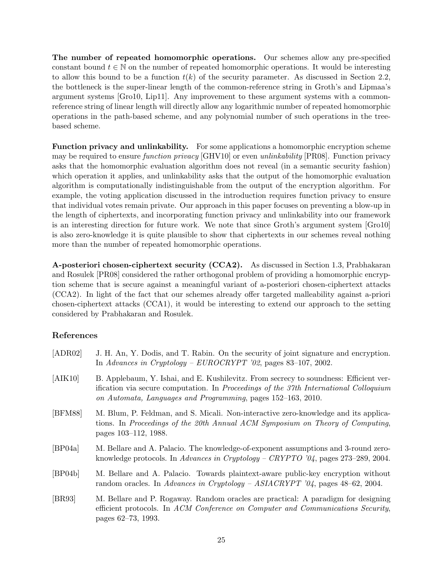**The number of repeated homomorphic operations.** Our schemes allow any pre-specified constant bound  $t \in \mathbb{N}$  on the number of repeated homomorphic operations. It would be interesting to allow this bound to be a function  $t(k)$  of the security parameter. As discussed in Section [2.2,](#page-7-0) the bottleneck is the super-linear length of the common-reference string in Groth's and Lipmaa's argument systems [[Gro10](#page-27-11), [Lip11](#page-27-12)]. Any improvement to these argument systems with a commonreference string of linear length will directly allow any logarithmic number of repeated homomorphic operations in the path-based scheme, and any polynomial number of such operations in the treebased scheme.

**Function privacy and unlinkability.** For some applications a homomorphic encryption scheme may be required to ensure *function privacy* [\[GHV10](#page-26-12)] or even *unlinkability* [\[PR08\]](#page-27-6). Function privacy asks that the homomorphic evaluation algorithm does not reveal (in a semantic security fashion) which operation it applies, and unlinkability asks that the output of the homomorphic evaluation algorithm is computationally indistinguishable from the output of the encryption algorithm. For example, the voting application discussed in the introduction requires function privacy to ensure that individual votes remain private. Our approach in this paper focuses on preventing a blow-up in the length of ciphertexts, and incorporating function privacy and unlinkability into our framework is an interesting direction for future work. We note that since Groth's argument system [[Gro10\]](#page-27-11) is also zero-knowledge it is quite plausible to show that ciphertexts in our schemes reveal nothing more than the number of repeated homomorphic operations.

**A-posteriori chosen-ciphertext security (CCA2).** As discussed in Section [1.3,](#page-5-0) Prabhakaran and Rosulek [\[PR08\]](#page-27-6) considered the rather orthogonal problem of providing a homomorphic encryption scheme that is secure against a meaningful variant of a-posteriori chosen-ciphertext attacks (CCA2). In light of the fact that our schemes already offer targeted malleability against a-priori chosen-ciphertext attacks (CCA1), it would be interesting to extend our approach to the setting considered by Prabhakaran and Rosulek.

# **References**

<span id="page-25-5"></span><span id="page-25-4"></span><span id="page-25-3"></span><span id="page-25-2"></span><span id="page-25-1"></span><span id="page-25-0"></span>

| [ADR02] | J. H. An, Y. Dodis, and T. Rabin. On the security of joint signature and encryption.<br>In Advances in Cryptology – $EUROCRYPT$ '02, pages 83–107, 2002.                                                                                       |
|---------|------------------------------------------------------------------------------------------------------------------------------------------------------------------------------------------------------------------------------------------------|
| [AIK10] | B. Applebaum, Y. Ishai, and E. Kushilevitz. From secrecy to soundness: Efficient ver-<br>ification via secure computation. In Proceedings of the 37th International Colloquium<br>on Automata, Languages and Programming, pages 152–163, 2010. |
| [BFM88] | M. Blum, P. Feldman, and S. Micali. Non-interactive zero-knowledge and its applica-<br>tions. In Proceedings of the 20th Annual ACM Symposium on Theory of Computing,<br>pages 103-112, 1988.                                                  |
| [BP04a] | M. Bellare and A. Palacio. The knowledge-of-exponent assumptions and 3-round zero-<br>knowledge protocols. In Advances in Cryptology – CRYPTO '04, pages 273–289, 2004.                                                                        |
| [BP04b] | M. Bellare and A. Palacio. Towards plaintext-aware public-key encryption without<br>random oracles. In Advances in Cryptology – ASIACRYPT '04, pages 48–62, 2004.                                                                              |
| [BR93]  | M. Bellare and P. Rogaway. Random oracles are practical: A paradigm for designing<br>efficient protocols. In ACM Conference on Computer and Communications Security,<br>pages 62–73, 1993.                                                     |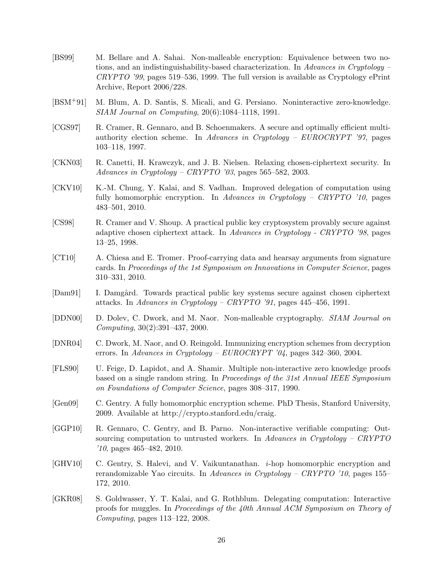- <span id="page-26-3"></span>[BS99] M. Bellare and A. Sahai. Non-malleable encryption: Equivalence between two notions, and an indistinguishability-based characterization. In *Advances in Cryptology – CRYPTO '99*, pages 519–536, 1999. The full version is available as Cryptology ePrint Archive, Report 2006/228.
- <span id="page-26-14"></span>[BSM+91] M. Blum, A. D. Santis, S. Micali, and G. Persiano. Noninteractive zero-knowledge. *SIAM Journal on Computing*, 20(6):1084–1118, 1991.
- <span id="page-26-1"></span>[CGS97] R. Cramer, R. Gennaro, and B. Schoenmakers. A secure and optimally efficient multiauthority election scheme. In *Advances in Cryptology – EUROCRYPT '97*, pages 103–118, 1997.
- <span id="page-26-7"></span>[CKN03] R. Canetti, H. Krawczyk, and J. B. Nielsen. Relaxing chosen-ciphertext security. In *Advances in Cryptology – CRYPTO '03*, pages 565–582, 2003.
- <span id="page-26-10"></span>[CKV10] K.-M. Chung, Y. Kalai, and S. Vadhan. Improved delegation of computation using fully homomorphic encryption. In *Advances in Cryptology – CRYPTO '10*, pages 483–501, 2010.
- <span id="page-26-6"></span>[CS98] R. Cramer and V. Shoup. A practical public key cryptosystem provably secure against adaptive chosen ciphertext attack. In *Advances in Cryptology - CRYPTO '98*, pages 13–25, 1998.
- <span id="page-26-4"></span>[CT10] A. Chiesa and E. Tromer. Proof-carrying data and hearsay arguments from signature cards. In *Proceedings of the 1st Symposium on Innovations in Computer Science*, pages 310–331, 2010.
- <span id="page-26-5"></span>[Dam91] I. Damgård. Towards practical public key systems secure against chosen ciphertext attacks. In *Advances in Cryptology – CRYPTO '91*, pages 445–456, 1991.
- <span id="page-26-2"></span>[DDN00] D. Dolev, C. Dwork, and M. Naor. Non-malleable cryptography. *SIAM Journal on Computing*, 30(2):391–437, 2000.
- <span id="page-26-11"></span>[DNR04] C. Dwork, M. Naor, and O. Reingold. Immunizing encryption schemes from decryption errors. In *Advances in Cryptology – EUROCRYPT '04*, pages 342–360, 2004.
- <span id="page-26-13"></span>[FLS90] U. Feige, D. Lapidot, and A. Shamir. Multiple non-interactive zero knowledge proofs based on a single random string. In *Proceedings of the 31st Annual IEEE Symposium on Foundations of Computer Science*, pages 308–317, 1990.
- <span id="page-26-0"></span>[Gen09] C. Gentry. A fully homomorphic encryption scheme. PhD Thesis, Stanford University, 2009. Available at http://crypto.stanford.edu/craig.
- <span id="page-26-9"></span>[GGP10] R. Gennaro, C. Gentry, and B. Parno. Non-interactive verifiable computing: Outsourcing computation to untrusted workers. In *Advances in Cryptology – CRYPTO '10*, pages 465–482, 2010.
- <span id="page-26-12"></span>[GHV10] C. Gentry, S. Halevi, and V. Vaikuntanathan. *i*-hop homomorphic encryption and rerandomizable Yao circuits. In *Advances in Cryptology – CRYPTO '10*, pages 155– 172, 2010.
- <span id="page-26-8"></span>[GKR08] S. Goldwasser, Y. T. Kalai, and G. Rothblum. Delegating computation: Interactive proofs for muggles. In *Proceedings of the 40th Annual ACM Symposium on Theory of Computing*, pages 113–122, 2008.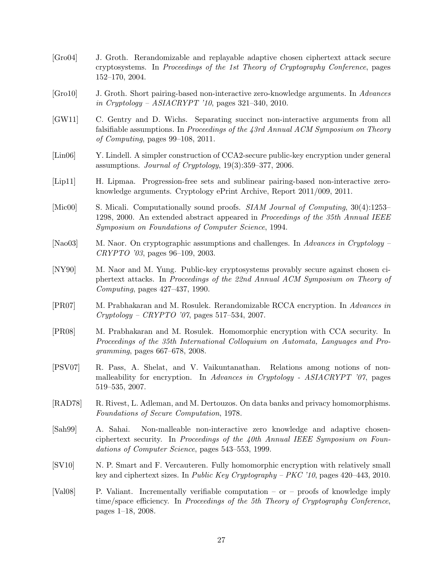- <span id="page-27-13"></span>[Gro04] J. Groth. Rerandomizable and replayable adaptive chosen ciphertext attack secure cryptosystems. In *Proceedings of the 1st Theory of Cryptography Conference*, pages 152–170, 2004.
- <span id="page-27-11"></span>[Gro10] J. Groth. Short pairing-based non-interactive zero-knowledge arguments. In *Advances in Cryptology – ASIACRYPT '10*, pages 321–340, 2010.
- <span id="page-27-7"></span>[GW11] C. Gentry and D. Wichs. Separating succinct non-interactive arguments from all falsifiable assumptions. In *Proceedings of the 43rd Annual ACM Symposium on Theory of Computing*, pages 99–108, 2011.
- <span id="page-27-5"></span>[Lin06] Y. Lindell. A simpler construction of CCA2-secure public-key encryption under general assumptions. *Journal of Cryptology*, 19(3):359–377, 2006.
- <span id="page-27-12"></span>[Lip11] H. Lipmaa. Progression-free sets and sublinear pairing-based non-interactive zeroknowledge arguments. Cryptology ePrint Archive, Report 2011/009, 2011.
- <span id="page-27-9"></span>[Mic00] S. Micali. Computationally sound proofs. *SIAM Journal of Computing*, 30(4):1253– 1298, 2000. An extended abstract appeared in *Proceedings of the 35th Annual IEEE Symposium on Foundations of Computer Science*, 1994.
- <span id="page-27-8"></span>[Nao03] M. Naor. On cryptographic assumptions and challenges. In *Advances in Cryptology – CRYPTO '03*, pages 96–109, 2003.
- <span id="page-27-3"></span>[NY90] M. Naor and M. Yung. Public-key cryptosystems provably secure against chosen ciphertext attacks. In *Proceedings of the 22nd Annual ACM Symposium on Theory of Computing*, pages 427–437, 1990.
- <span id="page-27-14"></span>[PR07] M. Prabhakaran and M. Rosulek. Rerandomizable RCCA encryption. In *Advances in Cryptology – CRYPTO '07*, pages 517–534, 2007.
- <span id="page-27-6"></span>[PR08] M. Prabhakaran and M. Rosulek. Homomorphic encryption with CCA security. In *Proceedings of the 35th International Colloquium on Automata, Languages and Programming*, pages 667–678, 2008.
- <span id="page-27-2"></span>[PSV07] R. Pass, A. Shelat, and V. Vaikuntanathan. Relations among notions of nonmalleability for encryption. In *Advances in Cryptology - ASIACRYPT '07*, pages 519–535, 2007.
- <span id="page-27-0"></span>[RAD78] R. Rivest, L. Adleman, and M. Dertouzos. On data banks and privacy homomorphisms. *Foundations of Secure Computation*, 1978.
- <span id="page-27-4"></span>[Sah99] A. Sahai. Non-malleable non-interactive zero knowledge and adaptive chosenciphertext security. In *Proceedings of the 40th Annual IEEE Symposium on Foundations of Computer Science*, pages 543–553, 1999.
- <span id="page-27-1"></span>[SV10] N. P. Smart and F. Vercauteren. Fully homomorphic encryption with relatively small key and ciphertext sizes. In *Public Key Cryptography – PKC '10*, pages 420–443, 2010.
- <span id="page-27-10"></span>[Val08] P. Valiant. Incrementally verifiable computation – or – proofs of knowledge imply time/space efficiency. In *Proceedings of the 5th Theory of Cryptography Conference*, pages 1–18, 2008.